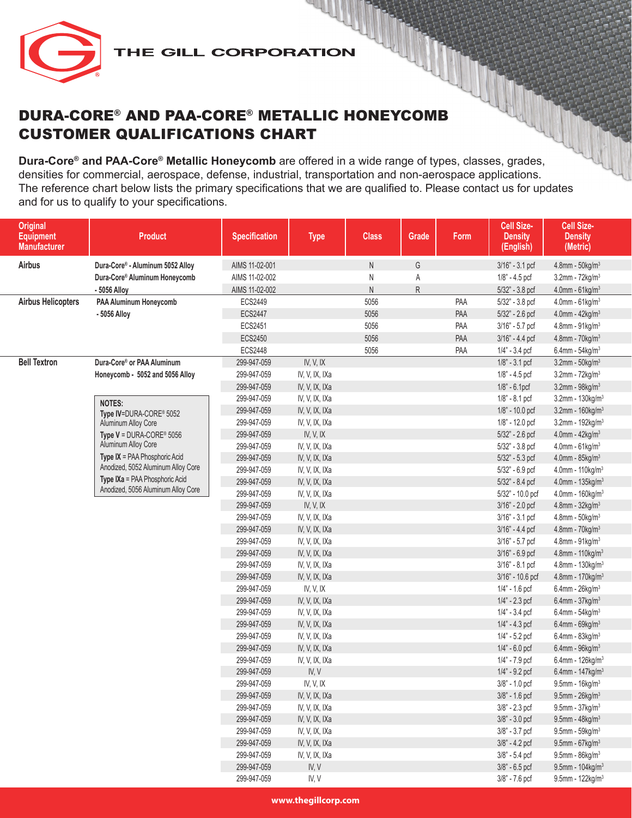

**Dura-Core® and PAA-Core® Metallic Honeycomb** are offered in a wide range of types, classes, grades, densities for commercial, aerospace, defense, industrial, transportation and non-aerospace applications. The reference chart below lists the primary specifications that we are qualified to. Please contact us for updates and for us to qualify to your specifications.

| <b>Original</b><br><b>Equipment</b><br><b>Manufacturer</b> | <b>Product</b>                                                      | <b>Specification</b>       | <b>Type</b>                      | <b>Class</b> | Grade       | Form | Cell Size-<br><b>Density</b><br>(English) | Cell Size-<br><b>Density</b><br>(Metric)          |
|------------------------------------------------------------|---------------------------------------------------------------------|----------------------------|----------------------------------|--------------|-------------|------|-------------------------------------------|---------------------------------------------------|
| <b>Airbus</b>                                              | Dura-Core® - Aluminum 5052 Alloy                                    | AIMS 11-02-001             |                                  | ${\sf N}$    | G           |      | 3/16" - 3.1 pcf                           | $4.8$ mm - $50$ kg/m $3$                          |
|                                                            | Dura-Core® Aluminum Honeycomb                                       | AIMS 11-02-002             |                                  | Ν            | Α           |      | 1/8" - 4.5 pcf                            | $3.2$ mm - $72$ kg/m $3$                          |
|                                                            | - 5056 Alloy                                                        | AIMS 11-02-002             |                                  | N            | $\mathsf R$ |      | 5/32" - 3.8 pcf                           | 4.0mm - 61kg/m <sup>3</sup>                       |
| <b>Airbus Helicopters</b>                                  | PAA Aluminum Honeycomb                                              | ECS2449                    |                                  | 5056         |             | PAA  | 5/32" - 3.8 pcf                           | $4.0$ mm - $61$ kg/m $3$                          |
|                                                            | - 5056 Alloy                                                        | <b>ECS2447</b>             |                                  | 5056         |             | PAA  | 5/32" - 2.6 pcf                           | 4.0mm - $42$ kg/m <sup>3</sup>                    |
|                                                            |                                                                     | <b>ECS2451</b>             |                                  | 5056         |             | PAA  | 3/16" - 5.7 pcf                           | 4.8mm - 91kg/m <sup>3</sup>                       |
|                                                            |                                                                     | ECS2450                    |                                  | 5056         |             | PAA  | 3/16" - 4.4 pcf                           | $4.8$ mm - $70$ kg/m <sup>3</sup>                 |
|                                                            |                                                                     | <b>ECS2448</b>             |                                  | 5056         |             | PAA  | 1/4" - 3.4 pcf                            | 6.4mm - $54$ kg/m <sup>3</sup>                    |
| <b>Bell Textron</b>                                        | Dura-Core® or PAA Aluminum                                          | 299-947-059                | IV, V, IX                        |              |             |      | $1/8$ " - $3.1$ pcf                       | $3.2$ mm - $50$ kg/m $3$                          |
|                                                            | Honeycomb - 5052 and 5056 Alloy                                     | 299-947-059                | IV, V, IX, IXa                   |              |             |      | 1/8" - 4.5 pcf                            | $3.2$ mm - $72$ kg/m <sup>3</sup>                 |
|                                                            |                                                                     | 299-947-059                | IV, V, IX, IXa                   |              |             |      | $1/8$ " - 6.1pcf                          | $3.2$ mm - $98$ kg/m <sup>3</sup>                 |
|                                                            | <b>NOTES:</b>                                                       | 299-947-059                | IV, V, IX, IXa                   |              |             |      | $1/8" - 8.1$ pcf                          | $3.2$ mm - 130kg/m $3$                            |
|                                                            | Type IV=DURA-CORE® 5052                                             | 299-947-059                | IV, V, IX, IXa                   |              |             |      | 1/8" - 10.0 pcf                           | $3.2$ mm - 160kg/m $3$                            |
|                                                            | Aluminum Alloy Core                                                 | 299-947-059                | IV, V, IX, IXa                   |              |             |      | 1/8" - 12.0 pcf                           | $3.2$ mm - 192kg/m $3$                            |
|                                                            | Type $V = DURA-CORE® 5056$                                          | 299-947-059                | IV, V, IX                        |              |             |      | 5/32" - 2.6 pcf                           | $4.0$ mm - $42$ kg/m <sup>3</sup>                 |
|                                                            | Aluminum Alloy Core                                                 | 299-947-059                | IV, V, IX, IXa                   |              |             |      | 5/32" - 3.8 pcf                           | $4.0$ mm - $61$ kg/m $3$                          |
|                                                            | Type IX = PAA Phosphoric Acid<br>Anodized, 5052 Aluminum Alloy Core | 299-947-059                | IV, V, IX, IXa                   |              |             |      | 5/32" - 5.3 pcf                           | $4.0$ mm - $85$ kg/m <sup>3</sup>                 |
|                                                            | Type IXa = PAA Phosphoric Acid                                      | 299-947-059                | IV, V, IX, IXa                   |              |             |      | 5/32" - 6.9 pcf                           | 4.0mm - 110kg/m <sup>3</sup>                      |
|                                                            | Anodized, 5056 Aluminum Alloy Core                                  | 299-947-059                | IV, V, IX, IXa                   |              |             |      | 5/32" - 8.4 pcf                           | 4.0mm - 135kg/m <sup>3</sup>                      |
|                                                            |                                                                     | 299-947-059                | IV, V, IX, IXa                   |              |             |      | 5/32" - 10.0 pcf                          | $4.0$ mm - 160 $kg/m3$                            |
|                                                            |                                                                     | 299-947-059                | IV, V, IX                        |              |             |      | 3/16" - 2.0 pcf                           | $4.8$ mm - $32$ kg/m <sup>3</sup>                 |
|                                                            |                                                                     | 299-947-059                | IV, V, IX, IXa                   |              |             |      | 3/16" - 3.1 pcf                           | $4.8$ mm - $50$ kg/m $3$                          |
|                                                            |                                                                     | 299-947-059                | IV, V, IX, IXa                   |              |             |      | 3/16" - 4.4 pcf                           | $4.8$ mm - $70$ kg/m <sup>3</sup>                 |
|                                                            |                                                                     | 299-947-059<br>299-947-059 | IV, V, IX, IXa<br>IV, V, IX, IXa |              |             |      | 3/16" - 5.7 pcf<br>3/16" - 6.9 pcf        | 4.8mm - $91kg/m3$<br>4.8mm - 110kg/m <sup>3</sup> |
|                                                            |                                                                     | 299-947-059                | IV, V, IX, IXa                   |              |             |      | 3/16" - 8.1 pcf                           | $4.8$ mm - 130kg/m $3$                            |
|                                                            |                                                                     | 299-947-059                | IV, V, IX, IXa                   |              |             |      | 3/16" - 10.6 pcf                          | 4.8mm - 170kg/m <sup>3</sup>                      |
|                                                            |                                                                     | 299-947-059                | IV, V, IX                        |              |             |      | 1/4" - 1.6 pcf                            | 6.4mm - $26$ kg/m <sup>3</sup>                    |
|                                                            |                                                                     | 299-947-059                | IV, V, IX, IXa                   |              |             |      | $1/4" - 2.3$ pcf                          | 6.4mm - $37$ kg/m <sup>3</sup>                    |
|                                                            |                                                                     | 299-947-059                | IV, V, IX, IXa                   |              |             |      | $1/4" - 3.4$ pcf                          | 6.4mm - $54$ kg/m <sup>3</sup>                    |
|                                                            |                                                                     | 299-947-059                | IV, V, IX, IXa                   |              |             |      | $1/4$ " - $4.3$ pcf                       | $6.4$ mm - $69$ kg/m <sup>3</sup>                 |
|                                                            |                                                                     | 299-947-059                | IV, V, IX, IXa                   |              |             |      | $1/4$ " - 5.2 pcf                         | $6.4$ mm - $83$ kg/m <sup>3</sup>                 |
|                                                            |                                                                     | 299-947-059                | IV, V, IX, IXa                   |              |             |      | $1/4$ " - 6.0 pcf                         | $6.4$ mm - $96$ kg/m <sup>3</sup>                 |
|                                                            |                                                                     | 299-947-059                | IV, V, IX, IXa                   |              |             |      | 1/4" - 7.9 pcf                            | $6.4$ mm - 126kg/m <sup>3</sup>                   |
|                                                            |                                                                     | 299-947-059                | IV, V                            |              |             |      | $1/4$ " - 9.2 pcf                         | 6.4mm - $147$ kg/m <sup>3</sup>                   |
|                                                            |                                                                     | 299-947-059                | IV, V, IX                        |              |             |      | 3/8" - 1.0 pcf                            | $9.5$ mm - 16kg/m <sup>3</sup>                    |
|                                                            |                                                                     | 299-947-059                | IV, V, IX, IXa                   |              |             |      | 3/8" - 1.6 pcf                            | $9.5$ mm - $26$ kg/m <sup>3</sup>                 |
|                                                            |                                                                     | 299-947-059                | IV, V, IX, IXa                   |              |             |      | 3/8" - 2.3 pcf                            | $9.5$ mm - $37$ kg/m $3$                          |
|                                                            |                                                                     | 299-947-059                | IV, V, IX, IXa                   |              |             |      | 3/8" - 3.0 pcf                            | 9.5mm - $48$ kg/m <sup>3</sup>                    |
|                                                            |                                                                     | 299-947-059                | IV, V, IX, IXa                   |              |             |      | 3/8" - 3.7 pcf                            | $9.5$ mm - $59$ kg/m $3$                          |
|                                                            |                                                                     | 299-947-059                | IV, V, IX, IXa                   |              |             |      | 3/8" - 4.2 pcf                            | 9.5mm - $67$ kg/m <sup>3</sup>                    |
|                                                            |                                                                     | 299-947-059                | IV, V, IX, IXa                   |              |             |      | $3/8$ " - 5.4 pcf                         | $9.5$ mm - $86$ kg/m <sup>3</sup>                 |
|                                                            |                                                                     | 299-947-059                | IV, V                            |              |             |      | $3/8" - 6.5$ pcf                          | 9.5mm - 104kg/m <sup>3</sup>                      |
|                                                            |                                                                     | 299-947-059                | IV, V                            |              |             |      | 3/8" - 7.6 pcf                            | $9.5$ mm - 122kg/m <sup>3</sup>                   |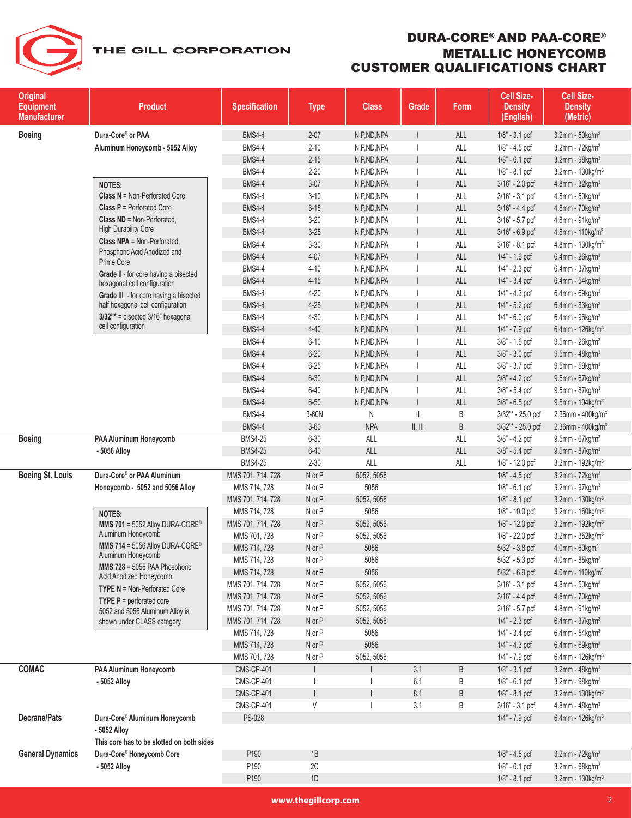# DURA-CORE® AND PAA-CORE® METALLIC HONEYCOMB CUSTOMER QUALIFICATIONS CHART

| <b>Original</b><br><b>Equipment</b><br><b>Manufacturer</b> | <b>Product</b>                                                | <b>Specification</b>           | <b>Type</b>     | <b>Class</b>    | Grade                      | Form   | Cell Size-<br><b>Density</b><br>(English) | Cell Size-<br><b>Density</b><br>(Metric)                           |
|------------------------------------------------------------|---------------------------------------------------------------|--------------------------------|-----------------|-----------------|----------------------------|--------|-------------------------------------------|--------------------------------------------------------------------|
| <b>Boeing</b>                                              | Dura-Core® or PAA                                             | <b>BMS4-4</b>                  | $2 - 07$        | N,P,ND,NPA      |                            | ALL    | $1/8" - 3.1$ pcf                          | $3.2$ mm - $50$ kg/m <sup>3</sup>                                  |
|                                                            | Aluminum Honeycomb - 5052 Alloy                               | <b>BMS4-4</b>                  | $2 - 10$        | N,P,ND,NPA      |                            | ALL    | $1/8" - 4.5$ pcf                          | 3.2mm - $72$ kg/m <sup>3</sup>                                     |
|                                                            |                                                               | <b>BMS4-4</b>                  | $2 - 15$        | N,P,ND,NPA      |                            | ALL    | $1/8" - 6.1$ pcf                          | 3.2mm - 98kg/m <sup>3</sup>                                        |
|                                                            |                                                               | <b>BMS4-4</b>                  | $2 - 20$        | N,P,ND,NPA      |                            | ALL    | $1/8" - 8.1$ pcf                          | $3.2$ mm - 130kg/m <sup>3</sup>                                    |
|                                                            | <b>NOTES:</b>                                                 | <b>BMS4-4</b>                  | $3 - 07$        | N,P,ND,NPA      |                            | ALL    | 3/16" - 2.0 pcf                           | 4.8mm - $32$ kg/m <sup>3</sup>                                     |
|                                                            | <b>Class <math>N = Non-Perforated Core</math></b>             | <b>BMS4-4</b>                  | $3 - 10$        | N,P,ND,NPA      |                            | ALL    | 3/16" - 3.1 pcf                           | $4.8$ mm - $50$ kg/m $3$                                           |
|                                                            | <b>Class P</b> = Perforated Core                              | <b>BMS4-4</b>                  | $3 - 15$        | N,P,ND,NPA      |                            | ALL    | 3/16" - 4.4 pcf                           | $4.8$ mm - $70$ kg/m <sup>3</sup>                                  |
|                                                            | <b>Class ND</b> = Non-Perforated.                             | <b>BMS4-4</b>                  | $3 - 20$        | N,P,ND,NPA      |                            | ALL    | 3/16" - 5.7 pcf                           | $4.8$ mm - $91$ kg/m <sup>3</sup>                                  |
|                                                            | <b>High Durability Core</b>                                   | <b>BMS4-4</b>                  | $3 - 25$        | N,P,ND,NPA      |                            | ALL    | 3/16" - 6.9 pcf                           | 4.8mm - 110kg/m <sup>3</sup>                                       |
|                                                            | <b>Class NPA</b> = Non-Perforated,                            | <b>BMS4-4</b>                  | $3 - 30$        | N,P,ND,NPA      |                            | ALL    | 3/16" - 8.1 pcf                           | $4.8$ mm - 130kg/m <sup>3</sup>                                    |
|                                                            | Phosphoric Acid Anodized and<br>Prime Core                    | <b>BMS4-4</b>                  | $4 - 07$        | N,P,ND,NPA      |                            | ALL    | $1/4" - 1.6$ pcf                          | 6.4mm - $26$ kg/m <sup>3</sup>                                     |
|                                                            | Grade II - for core having a bisected                         | <b>BMS4-4</b>                  | $4 - 10$        | N,P,ND,NPA      |                            | ALL    | $1/4$ " - 2.3 pcf                         | $6.4$ mm - 37kg/m <sup>3</sup>                                     |
|                                                            | hexagonal cell configuration                                  | <b>BMS4-4</b>                  | $4 - 15$        | N,P,ND,NPA      |                            | ALL    | 1/4" - 3.4 pcf                            | 6.4mm - $54$ kg/m <sup>3</sup>                                     |
|                                                            | Grade III - for core having a bisected                        | <b>BMS4-4</b>                  | $4 - 20$        | N,P,ND,NPA      |                            | ALL    | $1/4$ " - $4.3$ pcf                       | $6.4$ mm - 69kg/m <sup>3</sup>                                     |
|                                                            | half hexagonal cell configuration                             | <b>BMS4-4</b>                  | $4 - 25$        | N,P,ND,NPA      |                            | ALL    | $1/4" - 5.2$ pcf                          | $6.4$ mm - $83$ kg/m <sup>3</sup>                                  |
|                                                            | $3/32$ "* = bisected $3/16$ " hexagonal<br>cell configuration | <b>BMS4-4</b>                  | $4 - 30$        | N,P,ND,NPA      |                            | ALL    | $1/4$ " - 6.0 pcf                         | $6.4$ mm - $96$ kg/m <sup>3</sup>                                  |
|                                                            |                                                               | <b>BMS4-4</b>                  | $4 - 40$        | N,P,ND,NPA      |                            | ALL    | 1/4" - 7.9 pcf                            | $6.4$ mm - 126kg/m <sup>3</sup>                                    |
|                                                            |                                                               | <b>BMS4-4</b>                  | $6 - 10$        | N,P,ND,NPA      |                            | ALL    | 3/8" - 1.6 pcf                            | $9.5$ mm - $26$ kg/m <sup>3</sup>                                  |
|                                                            |                                                               | <b>BMS4-4</b>                  | $6 - 20$        | N,P,ND,NPA      |                            | ALL    | $3/8" - 3.0$ pcf                          | $9.5$ mm - 48kg/m <sup>3</sup>                                     |
|                                                            |                                                               | <b>BMS4-4</b>                  | $6 - 25$        | N,P,ND,NPA      |                            | ALL    | $3/8" - 3.7$ pcf                          | $9.5$ mm - $59$ kg/m <sup>3</sup>                                  |
|                                                            |                                                               | <b>BMS4-4</b>                  | $6 - 30$        | N,P,ND,NPA      |                            | ALL    | 3/8" - 4.2 pcf                            | $9.5$ mm - 67kg/m <sup>3</sup>                                     |
|                                                            |                                                               | <b>BMS4-4</b>                  | $6 - 40$        | N,P,ND,NPA      |                            | ALL    | 3/8" - 5.4 pcf                            | $9.5$ mm - $87$ kg/m <sup>3</sup>                                  |
|                                                            |                                                               | <b>BMS4-4</b><br><b>BMS4-4</b> | $6 - 50$        | N,P,ND,NPA      |                            | ALL    | $3/8" - 6.5$ pcf<br>3/32"* - 25.0 pcf     | $9.5$ mm - 104kg/m <sup>3</sup>                                    |
|                                                            |                                                               | <b>BMS4-4</b>                  | 3-60N<br>$3-60$ | N<br><b>NPA</b> | $\lvert \rvert$<br>II, III | B<br>B | 3/32"* - 25.0 pcf                         | 2.36mm - 400kg/m <sup>3</sup>                                      |
| <b>Boeing</b>                                              | PAA Aluminum Honeycomb                                        | <b>BMS4-25</b>                 | $6 - 30$        | ALL             |                            | ALL    | 3/8" - 4.2 pcf                            | 2.36mm - $400$ kg/m <sup>3</sup><br>$9.5$ mm - 67kg/m <sup>3</sup> |
|                                                            | - 5056 Alloy                                                  | <b>BMS4-25</b>                 | $6 - 40$        | ALL             |                            | ALL    | 3/8" - 5.4 pcf                            | $9.5$ mm - 87kg/m <sup>3</sup>                                     |
|                                                            |                                                               | <b>BMS4-25</b>                 | $2 - 30$        | ALL             |                            | ALL    | 1/8" - 12.0 pcf                           | $3.2$ mm - 192kg/m <sup>3</sup>                                    |
| <b>Boeing St. Louis</b>                                    | Dura-Core® or PAA Aluminum                                    | MMS 701, 714, 728              | N or P          | 5052, 5056      |                            |        | 1/8" - 4.5 pcf                            | 3.2mm - $72$ kg/m <sup>3</sup>                                     |
|                                                            | Honeycomb - 5052 and 5056 Alloy                               | MMS 714, 728                   | N or P          | 5056            |                            |        | $1/8" - 6.1$ pcf                          | 3.2mm - $97$ kg/m <sup>3</sup>                                     |
|                                                            |                                                               | MMS 701, 714, 728              | N or P          | 5052, 5056      |                            |        | 1/8" - 8.1 pcf                            | $3.2$ mm - 130kg/m $3$                                             |
|                                                            | <b>NOTES:</b>                                                 | MMS 714, 728                   | N or P          | 5056            |                            |        | 1/8" - 10.0 pcf                           | $3.2$ mm - 160 $kg/m3$                                             |
|                                                            | <b>MMS 701 = 5052 Alloy DURA-CORE®</b>                        | MMS 701, 714, 728              | N or P          | 5052, 5056      |                            |        | 1/8" - 12.0 pcf                           | 3.2mm - 192kg/m <sup>3</sup>                                       |
|                                                            | Aluminum Honeycomb                                            | MMS 701, 728                   | N or P          | 5052, 5056      |                            |        | 1/8" - 22.0 pcf                           | $3.2$ mm - $352$ kg/m <sup>3</sup>                                 |
|                                                            | <b>MMS 714 = 5056 Alloy DURA-CORE®</b>                        | MMS 714, 728                   | N or P          | 5056            |                            |        | 5/32" - 3.8 pcf                           | $4.0$ mm - $60$ kgm $3$                                            |
|                                                            | Aluminum Honeycomb                                            | MMS 714, 728                   | N or P          | 5056            |                            |        | 5/32" - 5.3 pcf                           | 4.0mm - $85$ kg/m <sup>3</sup>                                     |
|                                                            | MMS 728 = 5056 PAA Phosphoric<br>Acid Anodized Honeycomb      | MMS 714, 728                   | N or P          | 5056            |                            |        | 5/32" - 6.9 pcf                           | 4.0mm - 110kg/m <sup>3</sup>                                       |
|                                                            | <b>TYPE N</b> = Non-Perforated Core                           | MMS 701, 714, 728              | N or P          | 5052, 5056      |                            |        | $3/16" - 3.1$ pcf                         | $4.8$ mm - $50$ kg/m <sup>3</sup>                                  |
|                                                            | <b>TYPE P</b> = perforated core                               | MMS 701, 714, 728              | N or P          | 5052, 5056      |                            |        | $3/16" - 4.4$ pcf                         | 4.8mm - 70kg/m <sup>3</sup>                                        |
|                                                            | 5052 and 5056 Aluminum Alloy is                               | MMS 701, 714, 728              | N or P          | 5052, 5056      |                            |        | $3/16" - 5.7$ pcf                         | $4.8$ mm - $91$ kg/m <sup>3</sup>                                  |
|                                                            | shown under CLASS category                                    | MMS 701, 714, 728              | N or P          | 5052, 5056      |                            |        | $1/4" - 2.3$ pcf                          | 6.4mm - $37$ kg/m <sup>3</sup>                                     |
|                                                            |                                                               | MMS 714, 728                   | N or P          | 5056            |                            |        | $1/4$ " - 3.4 pcf                         | $6.4$ mm - $54$ kg/m <sup>3</sup>                                  |
|                                                            |                                                               | MMS 714, 728                   | N or P          | 5056            |                            |        | $1/4$ " - $4.3$ pcf                       | $6.4$ mm - 69kg/m <sup>3</sup>                                     |
|                                                            |                                                               | MMS 701, 728                   | N or P          | 5052, 5056      |                            |        | 1/4" - 7.9 pcf                            | 6.4mm - $126$ kg/m <sup>3</sup>                                    |
| COMAC                                                      | PAA Aluminum Honeycomb                                        | <b>CMS-CP-401</b>              |                 |                 | 3.1                        | B      | $1/8$ " - 3.1 pcf                         | $3.2$ mm - $48$ kg/m <sup>3</sup>                                  |
|                                                            | - 5052 Alloy                                                  | CMS-CP-401                     |                 |                 | 6.1                        | Β      | $1/8$ " - 6.1 pcf                         | $3.2$ mm - $98$ kg/m <sup>3</sup>                                  |
|                                                            |                                                               | <b>CMS-CP-401</b>              |                 |                 | 8.1                        | B      | $1/8$ " - 8.1 pcf                         | $3.2$ mm - 130 $kg/m3$                                             |
|                                                            |                                                               | <b>CMS-CP-401</b>              | V               |                 | 3.1                        | B      | 3/16" - 3.1 pcf                           | $4.8$ mm - $48$ kg/m <sup>3</sup>                                  |
| Decrane/Pats                                               | Dura-Core® Aluminum Honeycomb                                 | PS-028                         |                 |                 |                            |        | 1/4" - 7.9 pcf                            | 6.4mm - $126$ kg/m <sup>3</sup>                                    |
|                                                            | - 5052 Alloy<br>This core has to be slotted on both sides     |                                |                 |                 |                            |        |                                           |                                                                    |
| <b>General Dynamics</b>                                    | Dura-Core® Honeycomb Core                                     | P190                           | 1B              |                 |                            |        | $1/8$ " - $4.5$ pcf                       | $3.2$ mm - $72$ kg/m <sup>3</sup>                                  |
|                                                            | - 5052 Alloy                                                  | P190                           | $2C$            |                 |                            |        | $1/8$ " - 6.1 pcf                         | $3.2$ mm - $98$ kg/m <sup>3</sup>                                  |
|                                                            |                                                               | P190                           | $1D$            |                 |                            |        | 1/8" - 8.1 pcf                            | 3.2mm - 130kg/m <sup>3</sup>                                       |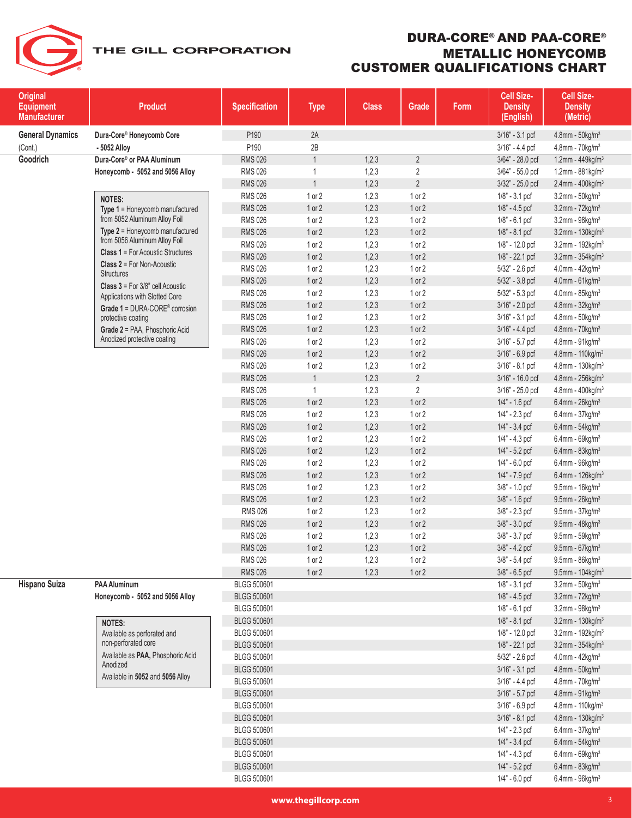

| <b>Original</b><br><b>Equipment</b><br><b>Manufacturer</b> | <b>Product</b>                                                               | <b>Specification</b> | <b>Type</b>    | <b>Class</b> | Grade          | Form | Cell Size-<br><b>Density</b><br>(English) | Cell Size-<br><b>Density</b><br>(Metric) |
|------------------------------------------------------------|------------------------------------------------------------------------------|----------------------|----------------|--------------|----------------|------|-------------------------------------------|------------------------------------------|
| <b>General Dynamics</b>                                    | Dura-Core® Honeycomb Core                                                    | P190                 | 2A             |              |                |      | $3/16" - 3.1$ pcf                         | $4.8$ mm - $50$ kg/m <sup>3</sup>        |
| (Cont.)                                                    | - 5052 Alloy                                                                 | P190                 | 2B             |              |                |      | $3/16" - 4.4$ pcf                         | $4.8$ mm - $70$ kg/m <sup>3</sup>        |
| Goodrich                                                   | Dura-Core® or PAA Aluminum                                                   | <b>RMS 026</b>       | $\mathbf{1}$   | 1,2,3        | $\overline{2}$ |      | 3/64" - 28.0 pcf                          | 1.2mm - 449kg/m <sup>3</sup>             |
|                                                            | Honeycomb - 5052 and 5056 Alloy                                              | <b>RMS 026</b>       | $\mathbf{1}$   | 1,2,3        | $\overline{2}$ |      | 3/64" - 55.0 pcf                          | 1.2mm - $881$ kg/m <sup>3</sup>          |
|                                                            |                                                                              | <b>RMS 026</b>       | $\overline{1}$ | 1,2,3        | $\overline{2}$ |      | 3/32" - 25.0 pcf                          | $2.4$ mm - $400$ kg/m <sup>3</sup>       |
|                                                            | <b>NOTES:</b>                                                                | <b>RMS 026</b>       | 1 or 2         | 1,2,3        | 1 or 2         |      | $1/8$ " - $3.1$ pcf                       | $3.2$ mm - $50$ kg/m $3.$                |
|                                                            | Type 1 = Honeycomb manufactured                                              | <b>RMS 026</b>       | 1 or 2         | 1,2,3        | 1 or 2         |      | $1/8$ " - $4.5$ pcf                       | 3.2mm - $72$ kg/m <sup>3</sup>           |
|                                                            | from 5052 Aluminum Alloy Foil                                                | <b>RMS 026</b>       | 1 or 2         | 1,2,3        | 1 or 2         |      | $1/8$ " - 6.1 pcf                         | $3.2$ mm - $98$ kg/m <sup>3</sup>        |
|                                                            | Type 2 = Honeycomb manufactured                                              | <b>RMS 026</b>       | $1$ or $2$     | 1,2,3        | 1 or 2         |      | $1/8" - 8.1$ pcf                          | 3.2mm - 130kg/m <sup>3</sup>             |
|                                                            | from 5056 Aluminum Alloy Foil                                                | <b>RMS 026</b>       | 1 or 2         | 1,2,3        | 1 or 2         |      | 1/8" - 12.0 pcf                           | $3.2$ mm - 192kg/m $3$                   |
|                                                            | <b>Class 1 = For Acoustic Structures</b>                                     | <b>RMS 026</b>       | $1$ or $2$     | 1,2,3        | 1 or 2         |      | 1/8" - 22.1 pcf                           | $3.2$ mm - $354$ kg/m <sup>3</sup>       |
|                                                            | <b>Class 2 = For Non-Acoustic</b>                                            | <b>RMS 026</b>       | 1 or 2         | 1,2,3        | 1 or 2         |      | 5/32" - 2.6 pcf                           | $4.0$ mm - $42$ kg/m <sup>3</sup>        |
|                                                            | <b>Structures</b>                                                            | <b>RMS 026</b>       | 1 or 2         | 1,2,3        | 1 or 2         |      | 5/32" - 3.8 pcf                           | 4.0mm - $61$ kg/m <sup>3</sup>           |
|                                                            | <b>Class 3</b> = For $3/8$ " cell Acoustic<br>Applications with Slotted Core | <b>RMS 026</b>       | 1 or 2         | 1,2,3        | 1 or 2         |      | $5/32" - 5.3$ pcf                         | $4.0$ mm - $85$ kg/m <sup>3</sup>        |
|                                                            | Grade 1 = DURA-CORE® corrosion                                               | <b>RMS 026</b>       | 1 or 2         | 1,2,3        | 1 or 2         |      | $3/16" - 2.0$ pcf                         | $4.8$ mm - $32$ kg/m <sup>3</sup>        |
|                                                            | protective coating                                                           | <b>RMS 026</b>       | 1 or 2         | 1,2,3        | 1 or 2         |      | 3/16" - 3.1 pcf                           | $4.8$ mm - $50$ kg/m <sup>3</sup>        |
|                                                            | Grade 2 = PAA, Phosphoric Acid                                               | <b>RMS 026</b>       | 1 or 2         | 1,2,3        | 1 or 2         |      | $3/16" - 4.4$ pcf                         | $4.8$ mm - $70$ kg/m <sup>3</sup>        |
|                                                            | Anodized protective coating                                                  | <b>RMS 026</b>       | 1 or 2         | 1,2,3        | 1 or 2         |      | 3/16" - 5.7 pcf                           | $4.8$ mm - $91$ kg/m $3$                 |
|                                                            |                                                                              | <b>RMS 026</b>       | 1 or 2         | 1,2,3        | 1 or 2         |      | 3/16" - 6.9 pcf                           | 4.8mm - 110kg/m <sup>3</sup>             |
|                                                            |                                                                              | <b>RMS 026</b>       | 1 or 2         | 1,2,3        | 1 or 2         |      | 3/16" - 8.1 pcf                           | $4.8$ mm - 130kg/m $3$                   |
|                                                            |                                                                              | <b>RMS 026</b>       | $\mathbf{1}$   | 1,2,3        | $\overline{2}$ |      | 3/16" - 16.0 pcf                          | 4.8mm - 256kg/m <sup>3</sup>             |
|                                                            |                                                                              | <b>RMS 026</b>       | $\mathbf{1}$   | 1,2,3        | $\overline{2}$ |      | 3/16" - 25.0 pcf                          | $4.8$ mm - $400$ kg/m <sup>3</sup>       |
|                                                            |                                                                              | <b>RMS 026</b>       | 1 or 2         | 1,2,3        | 1 or 2         |      | 1/4" - 1.6 pcf                            | 6.4mm - $26$ kg/m <sup>3</sup>           |
|                                                            |                                                                              | <b>RMS 026</b>       | 1 or 2         | 1,2,3        | 1 or 2         |      | 1/4" - 2.3 pcf                            | $6.4$ mm - 37kg/m <sup>3</sup>           |
|                                                            |                                                                              | <b>RMS 026</b>       | 1 or 2         | 1,2,3        | 1 or 2         |      | 1/4" - 3.4 pcf                            | 6.4mm - $54$ kg/m <sup>3</sup>           |
|                                                            |                                                                              | <b>RMS 026</b>       | 1 or 2         | 1,2,3        | 1 or 2         |      | $1/4$ " - $4.3$ pcf                       | $6.4$ mm - 69kg/m <sup>3</sup>           |
|                                                            |                                                                              | <b>RMS 026</b>       | 1 or 2         | 1,2,3        | 1 or 2         |      | $1/4" - 5.2$ pcf                          | $6.4$ mm - $83$ kg/m <sup>3</sup>        |
|                                                            |                                                                              | <b>RMS 026</b>       | 1 or 2         | 1,2,3        | 1 or 2         |      | $1/4" - 6.0$ pcf                          | $6.4$ mm - $96$ kg/m <sup>3</sup>        |
|                                                            |                                                                              | <b>RMS 026</b>       | 1 or 2         | 1,2,3        | 1 or 2         |      | 1/4" - 7.9 pcf                            | $6.4$ mm - 126kg/m <sup>3</sup>          |
|                                                            |                                                                              | <b>RMS 026</b>       | 1 or 2         | 1,2,3        | 1 or 2         |      | 3/8" - 1.0 pcf                            | $9.5$ mm - 16kg/m <sup>3</sup>           |
|                                                            |                                                                              | <b>RMS 026</b>       | 1 or 2         | 1,2,3        | 1 or 2         |      | 3/8" - 1.6 pcf                            | $9.5$ mm - 26kg/m <sup>3</sup>           |
|                                                            |                                                                              | <b>RMS 026</b>       | 1 or 2         | 1,2,3        | 1 or 2         |      | $3/8" - 2.3$ pcf                          | $9.5$ mm - 37kg/m <sup>3</sup>           |
|                                                            |                                                                              | <b>RMS 026</b>       | $1$ or $2$     | 1,2,3        | 1 or 2         |      | $3/8" - 3.0$ pcf                          | $9.5$ mm - $48$ kg/m <sup>3</sup>        |
|                                                            |                                                                              | <b>RMS 026</b>       | 1 or 2         | 1,2,3        | 1 or 2         |      | $3/8" - 3.7$ pcf                          | $9.5$ mm - $59$ kg/m <sup>3</sup>        |
|                                                            |                                                                              | <b>RMS 026</b>       | 1 or 2         | 1,2,3        | 1 or 2         |      | 3/8" - 4.2 pcf                            | $9.5$ mm - 67 $kg/m3$                    |
|                                                            |                                                                              | <b>RMS 026</b>       | 1 or 2         | 1,2,3        | $1$ or $2$     |      | 3/8" - 5.4 pcf                            | $9.5$ mm - $86$ kg/m <sup>3</sup>        |
|                                                            |                                                                              | <b>RMS 026</b>       | 1 or 2         | 1,2,3        | 1 or 2         |      | 3/8" - 6.5 pcf                            | $9.5$ mm - 104 $kg/m3$                   |
| Hispano Suiza                                              | <b>PAA Aluminum</b>                                                          | BLGG 500601          |                |              |                |      | $1/8$ " - 3.1 pcf                         | $3.2$ mm - $50$ kg/m <sup>3</sup>        |
|                                                            | Honeycomb - 5052 and 5056 Alloy                                              | <b>BLGG 500601</b>   |                |              |                |      | $1/8" - 4.5$ pcf                          | $3.2$ mm - $72$ kg/m <sup>3</sup>        |
|                                                            |                                                                              | BLGG 500601          |                |              |                |      | $1/8$ " - 6.1 pcf                         | $3.2$ mm - $98$ kg/m <sup>3</sup>        |
|                                                            | <b>NOTES:</b>                                                                | <b>BLGG 500601</b>   |                |              |                |      | 1/8" - 8.1 pcf                            | $3.2$ mm - 130 $kg/m3$                   |
|                                                            | Available as perforated and                                                  | BLGG 500601          |                |              |                |      | 1/8" - 12.0 pcf                           | 3.2mm - 192kg/m <sup>3</sup>             |
|                                                            | non-perforated core                                                          | BLGG 500601          |                |              |                |      | 1/8" - 22.1 pcf                           | $3.2$ mm - $354$ kg/m <sup>3</sup>       |
|                                                            | Available as PAA, Phosphoric Acid<br>Anodized                                | BLGG 500601          |                |              |                |      | 5/32" - 2.6 pcf                           | $4.0$ mm - $42$ kg/m <sup>3</sup>        |
|                                                            | Available in 5052 and 5056 Alloy                                             | <b>BLGG 500601</b>   |                |              |                |      | 3/16" - 3.1 pcf                           | $4.8$ mm - $50$ kg/m <sup>3</sup>        |
|                                                            |                                                                              | BLGG 500601          |                |              |                |      | 3/16" - 4.4 pcf                           | 4.8mm - $70$ kg/m <sup>3</sup>           |
|                                                            |                                                                              | <b>BLGG 500601</b>   |                |              |                |      | 3/16" - 5.7 pcf                           | $4.8$ mm - $91$ kg/m <sup>3</sup>        |
|                                                            |                                                                              | BLGG 500601          |                |              |                |      | 3/16" - 6.9 pcf                           | 4.8mm - 110kg/m <sup>3</sup>             |
|                                                            |                                                                              | <b>BLGG 500601</b>   |                |              |                |      | 3/16" - 8.1 pcf                           | 4.8mm - $130$ kg/m <sup>3</sup>          |
|                                                            |                                                                              | BLGG 500601          |                |              |                |      | $1/4" - 2.3$ pcf                          | 6.4mm - $37$ kg/m <sup>3</sup>           |
|                                                            |                                                                              | <b>BLGG 500601</b>   |                |              |                |      | $1/4" - 3.4$ pcf                          | $6.4$ mm - 54kg/m <sup>3</sup>           |
|                                                            |                                                                              | BLGG 500601          |                |              |                |      | $1/4" - 4.3$ pcf                          | $6.4$ mm - $69$ kg/m <sup>3</sup>        |
|                                                            |                                                                              | <b>BLGG 500601</b>   |                |              |                |      | $1/4" - 5.2$ pcf                          | 6.4mm - $83$ kg/m <sup>3</sup>           |
|                                                            |                                                                              | BLGG 500601          |                |              |                |      | $1/4" - 6.0$ pcf                          | $6.4$ mm - $96$ kg/m <sup>3</sup>        |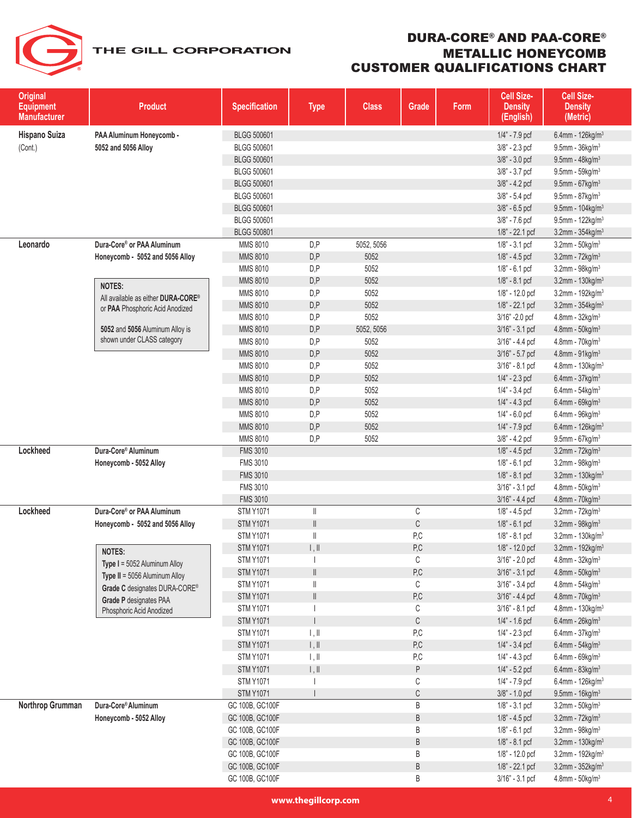| <b>Original</b><br><b>Equipment</b><br><b>Manufacturer</b> | <b>Product</b>                                       | <b>Specification</b>               | <b>Type</b>               | <b>Class</b> | Grade                         | Form | Cell Size-<br><b>Density</b><br>(English) | Cell Size-<br><b>Density</b><br>(Metric)                         |
|------------------------------------------------------------|------------------------------------------------------|------------------------------------|---------------------------|--------------|-------------------------------|------|-------------------------------------------|------------------------------------------------------------------|
| Hispano Suiza                                              | PAA Aluminum Honeycomb -                             | BLGG 500601                        |                           |              |                               |      | 1/4" - 7.9 pcf                            | 6.4mm - $126$ kg/m <sup>3</sup>                                  |
| (Cont.)                                                    | 5052 and 5056 Alloy                                  | BLGG 500601                        |                           |              |                               |      | $3/8" - 2.3$ pcf                          | $9.5$ mm - $36$ kg/m <sup>3</sup>                                |
|                                                            |                                                      | <b>BLGG 500601</b>                 |                           |              |                               |      | 3/8" - 3.0 pcf                            | $9.5$ mm - $48$ kg/m <sup>3</sup>                                |
|                                                            |                                                      | BLGG 500601                        |                           |              |                               |      | 3/8" - 3.7 pcf                            | $9.5$ mm - $59$ kg/m <sup>3</sup>                                |
|                                                            |                                                      | <b>BLGG 500601</b>                 |                           |              |                               |      | 3/8" - 4.2 pcf                            | $9.5$ mm - 67 $kg/m3$                                            |
|                                                            |                                                      | BLGG 500601                        |                           |              |                               |      | $3/8" - 5.4$ pcf                          | 9.5mm - 87kg/m <sup>3</sup>                                      |
|                                                            |                                                      | <b>BLGG 500601</b>                 |                           |              |                               |      | 3/8" - 6.5 pcf                            | 9.5mm - $104$ kg/m <sup>3</sup>                                  |
|                                                            |                                                      | BLGG 500601                        |                           |              |                               |      | 3/8" - 7.6 pcf                            | 9.5mm - $122$ kg/m <sup>3</sup>                                  |
|                                                            |                                                      | BLGG 500801                        |                           |              |                               |      | 1/8" - 22.1 pcf                           | $3.2$ mm - $354$ kg/m <sup>3</sup>                               |
| Leonardo                                                   | Dura-Core® or PAA Aluminum                           | MMS 8010                           | D, P                      | 5052, 5056   |                               |      | $1/8" - 3.1$ pcf                          | $3.2$ mm - $50$ kg/m $3$                                         |
|                                                            | Honeycomb - 5052 and 5056 Alloy                      | <b>MMS 8010</b>                    | D, P                      | 5052         |                               |      | $1/8$ " - $4.5$ pcf                       | $3.2$ mm - $72$ kg/m $3$                                         |
|                                                            |                                                      | MMS 8010                           | D, P                      | 5052         |                               |      | $1/8$ " - 6.1 pcf                         | 3.2mm - 98kg/m <sup>3</sup>                                      |
|                                                            | <b>NOTES:</b>                                        | MMS 8010                           | D, P                      | 5052         |                               |      | 1/8" - 8.1 pcf                            | $3.2$ mm - 130 $kg/m3$                                           |
|                                                            | All available as either <b>DURA-CORE<sup>®</sup></b> | MMS 8010                           | D, P                      | 5052         |                               |      | 1/8" - 12.0 pcf                           | 3.2mm - $192$ kg/m <sup>3</sup>                                  |
|                                                            | or PAA Phosphoric Acid Anodized                      | <b>MMS 8010</b>                    | D, P                      | 5052         |                               |      | 1/8" - 22.1 pcf                           | $3.2$ mm - $354$ kg/m <sup>3</sup>                               |
|                                                            |                                                      | MMS 8010                           | D, P                      | 5052         |                               |      | 3/16" - 2.0 pcf                           | $4.8$ mm - $32$ kg/m $3$                                         |
|                                                            | 5052 and 5056 Aluminum Alloy is                      | MMS 8010                           | D, P                      | 5052, 5056   |                               |      | $3/16" - 3.1$ pcf                         | $4.8$ mm - $50$ kg/m $3$                                         |
|                                                            | shown under CLASS category                           | MMS 8010                           | D, P                      | 5052         |                               |      | $3/16" - 4.4$ pcf                         | 4.8mm - 70kg/m <sup>3</sup>                                      |
|                                                            |                                                      | MMS 8010                           | D, P                      | 5052         |                               |      | 3/16" - 5.7 pcf                           | 4.8mm - $91kg/m3$                                                |
|                                                            |                                                      | MMS 8010                           | D, P                      | 5052         |                               |      | 3/16" - 8.1 pcf                           | 4.8mm - 130kg/m <sup>3</sup>                                     |
|                                                            |                                                      | MMS 8010                           | D, P                      | 5052         |                               |      | $1/4" - 2.3$ pcf                          | $6.4$ mm - 37kg/m <sup>3</sup>                                   |
|                                                            |                                                      | MMS 8010                           | D, P                      | 5052         |                               |      | $1/4" - 3.4$ pcf                          | $6.4$ mm - $54$ kg/m <sup>3</sup>                                |
|                                                            |                                                      | MMS 8010                           | D, P                      | 5052         |                               |      | $1/4" - 4.3$ pcf                          | $6.4$ mm - $69$ kg/m <sup>3</sup>                                |
|                                                            |                                                      | MMS 8010                           | D, P                      | 5052         |                               |      | $1/4$ " - 6.0 pcf                         | $6.4$ mm - $96$ kg/m <sup>3</sup>                                |
|                                                            |                                                      | MMS 8010                           | D, P                      | 5052         |                               |      | 1/4" - 7.9 pcf                            | 6.4mm - $126$ kg/m <sup>3</sup>                                  |
|                                                            |                                                      | MMS 8010                           | D,P                       | 5052         |                               |      | 3/8" - 4.2 pcf                            | $9.5$ mm - 67kg/m <sup>3</sup>                                   |
| Lockheed                                                   | Dura-Core® Aluminum                                  | <b>FMS 3010</b>                    |                           |              |                               |      | $1/8$ " - $4.5$ pcf                       | $3.2$ mm - $72$ kg/m $3$                                         |
|                                                            | Honeycomb - 5052 Alloy                               | <b>FMS 3010</b>                    |                           |              |                               |      | 1/8" - 6.1 pcf                            | $3.2$ mm - $98$ kg/m $3$                                         |
|                                                            |                                                      | <b>FMS 3010</b>                    |                           |              |                               |      | $1/8$ " - 8.1 pcf                         | $3.2$ mm - 130kg/m <sup>3</sup>                                  |
|                                                            |                                                      | <b>FMS 3010</b>                    |                           |              |                               |      | $3/16" - 3.1$ pcf                         | 4.8mm - 50kg/m <sup>3</sup>                                      |
|                                                            |                                                      | <b>FMS 3010</b>                    |                           |              |                               |      | 3/16" - 4.4 pcf                           | $4.8$ mm - $70$ kg/m $3$                                         |
| Lockheed                                                   | Dura-Core® or PAA Aluminum                           | <b>STM Y1071</b>                   | $\parallel$               |              | С                             |      | $1/8$ " - 4.5 pcf                         | 3.2mm - $72$ kg/m <sup>3</sup>                                   |
|                                                            | Honeycomb - 5052 and 5056 Alloy                      | <b>STM Y1071</b>                   | $\parallel$               |              | С                             |      | 1/8" - 6.1 pcf                            | 3.2mm - 98kg/m <sup>3</sup>                                      |
|                                                            |                                                      | <b>STM Y1071</b>                   | $\mathbb I$               |              | P,C                           |      | $1/8" - 8.1$ pcf                          | $3.2$ mm - 130kg/m $3$                                           |
|                                                            | <b>NOTES:</b>                                        | <b>STM Y1071</b>                   | $\parallel$ , $\parallel$ |              | P,C                           |      | 1/8" - 12.0 pcf                           | 3.2mm - $192$ kg/m <sup>3</sup>                                  |
|                                                            | Type I = 5052 Aluminum Alloy                         | <b>STM Y1071</b>                   |                           |              | С                             |      | 3/16" - 2.0 pcf                           | 4.8mm - 32kg/m <sup>3</sup>                                      |
|                                                            | Type II = 5056 Aluminum Alloy                        | <b>STM Y1071</b>                   | $\parallel$               |              | $\mathsf{P}\!,\!\mathsf{C}\!$ |      | 3/16" - 3.1 pcf                           | $4.8$ mm - $50$ kg/m $3$                                         |
|                                                            | Grade C designates DURA-CORE®                        | <b>STM Y1071</b>                   | $\parallel$               |              | С                             |      | 3/16" - 3.4 pcf                           | $4.8$ mm - $54$ kg/m $3$                                         |
|                                                            | Grade P designates PAA                               | <b>STM Y1071</b>                   | $\parallel$               |              | $\mathsf{P}\!,\!\mathsf{C}\!$ |      | $3/16" - 4.4$ pcf                         | $4.8$ mm - $70$ kg/m $3$                                         |
|                                                            | Phosphoric Acid Anodized                             | <b>STM Y1071</b>                   |                           |              | С                             |      | 3/16" - 8.1 pcf                           | $4.8$ mm - 130 $kg/m3$                                           |
|                                                            |                                                      | <b>STM Y1071</b>                   | $\mathbf{I}$              |              | $\mathbb{C}$                  |      | $1/4" - 1.6$ pcf                          | $6.4$ mm - 26kg/m <sup>3</sup>                                   |
|                                                            |                                                      | <b>STM Y1071</b>                   | 1, 1                      |              | P,C                           |      | 1/4" - 2.3 pcf                            | $6.4$ mm - 37kg/m <sup>3</sup>                                   |
|                                                            |                                                      | <b>STM Y1071</b>                   | $\parallel$ , $\parallel$ |              | P, C                          |      | $1/4" - 3.4$ pcf                          | 6.4mm - $54$ kg/m <sup>3</sup>                                   |
|                                                            |                                                      | <b>STM Y1071</b>                   | $\mathbb{L}, \mathbb{H}$  |              | P,C                           |      | 1/4" - 4.3 pcf                            | $6.4$ mm - 69kg/m <sup>3</sup>                                   |
|                                                            |                                                      | <b>STM Y1071</b>                   | $\parallel$ , $\parallel$ |              | P                             |      | $1/4" - 5.2$ pcf                          | $6.4$ mm - $83$ kg/m <sup>3</sup>                                |
|                                                            |                                                      | <b>STM Y1071</b>                   |                           |              | С                             |      | 1/4" - 7.9 pcf                            | $6.4$ mm - 126kg/m <sup>3</sup>                                  |
|                                                            | Dura-Core® Aluminum                                  | <b>STM Y1071</b>                   |                           |              | $\mathbb{C}$                  |      | 3/8" - 1.0 pcf                            | $9.5$ mm - 16kg/m $3$                                            |
| Northrop Grumman                                           |                                                      | GC 100B, GC100F                    |                           |              | B                             |      | 1/8" - 3.1 pcf                            | $3.2$ mm - $50$ kg/m <sup>3</sup>                                |
|                                                            | Honeycomb - 5052 Alloy                               | GC 100B, GC100F<br>GC 100B, GC100F |                           |              | B<br>B                        |      | $1/8" - 4.5$ pcf<br>1/8" - 6.1 pcf        | 3.2mm - $72$ kg/m <sup>3</sup><br>3.2mm - $98$ kg/m <sup>3</sup> |
|                                                            |                                                      | GC 100B, GC100F                    |                           |              | B                             |      | 1/8" - 8.1 pcf                            | $3.2$ mm - 130kg/m <sup>3</sup>                                  |
|                                                            |                                                      | GC 100B, GC100F                    |                           |              | B                             |      | 1/8" - 12.0 pcf                           | 3.2mm - $192$ kg/m <sup>3</sup>                                  |
|                                                            |                                                      | GC 100B, GC100F                    |                           |              | B                             |      | 1/8" - 22.1 pcf                           | $3.2$ mm - $352$ kg/m <sup>3</sup>                               |
|                                                            |                                                      | GC 100B, GC100F                    |                           |              | B                             |      | $3/16" - 3.1$ pcf                         | 4.8mm - 50kg/m <sup>3</sup>                                      |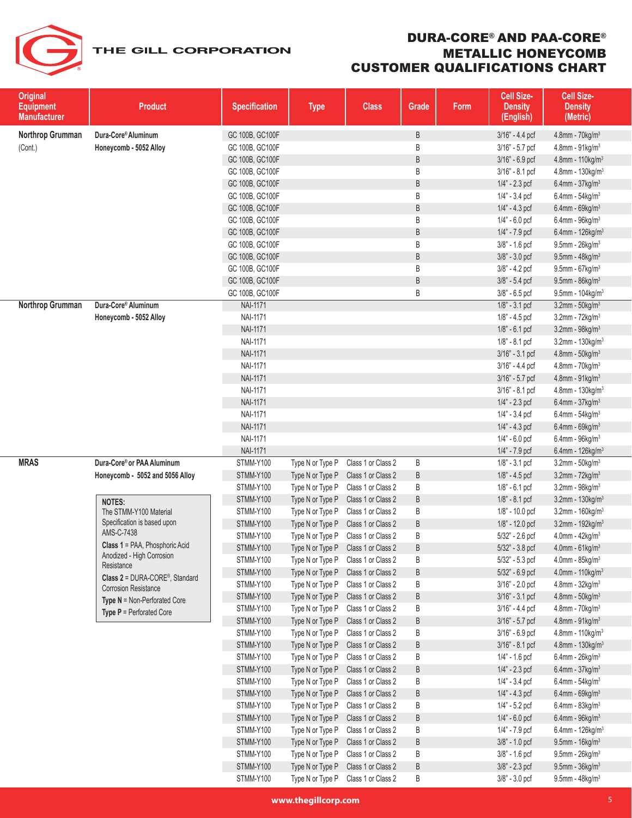| <b>Original</b><br><b>Equipment</b><br><b>Manufacturer</b> | <b>Product</b>                                                     | <b>Specification</b> | <b>Type</b>      | <b>Class</b>       | Grade | Form | Cell Size-<br><b>Density</b><br>(English) | Cell Size-<br><b>Density</b><br>(Metric) |
|------------------------------------------------------------|--------------------------------------------------------------------|----------------------|------------------|--------------------|-------|------|-------------------------------------------|------------------------------------------|
| Northrop Grumman                                           | Dura-Core® Aluminum                                                | GC 100B, GC100F      |                  |                    | B     |      | 3/16" - 4.4 pcf                           | $4.8$ mm - $70$ kg/m $3$                 |
| (Cont.)                                                    | Honeycomb - 5052 Alloy                                             | GC 100B, GC100F      |                  |                    | B     |      | 3/16" - 5.7 pcf                           | $4.8$ mm - $91$ kg/m $3$                 |
|                                                            |                                                                    | GC 100B, GC100F      |                  |                    | B     |      | 3/16" - 6.9 pcf                           | 4.8mm - 110kg/m <sup>3</sup>             |
|                                                            |                                                                    | GC 100B, GC100F      |                  |                    | B     |      | 3/16" - 8.1 pcf                           | 4.8mm - $130$ kg/m <sup>3</sup>          |
|                                                            |                                                                    | GC 100B, GC100F      |                  |                    | B     |      | $1/4" - 2.3$ pcf                          | $6.4$ mm - 37kg/m <sup>3</sup>           |
|                                                            |                                                                    | GC 100B, GC100F      |                  |                    | B     |      | $1/4" - 3.4$ pcf                          | $6.4$ mm - $54$ kg/m <sup>3</sup>        |
|                                                            |                                                                    | GC 100B, GC100F      |                  |                    | B     |      | $1/4$ " - 4.3 pcf                         | $6.4$ mm - 69kg/m <sup>3</sup>           |
|                                                            |                                                                    | GC 100B, GC100F      |                  |                    | B     |      | $1/4$ " - 6.0 pcf                         | $6.4$ mm - $96$ kg/m $3$                 |
|                                                            |                                                                    | GC 100B, GC100F      |                  |                    | B     |      | 1/4" - 7.9 pcf                            | $6.4$ mm - 126 $kg/m3$                   |
|                                                            |                                                                    | GC 100B, GC100F      |                  |                    | B     |      | $3/8$ " - 1.6 pcf                         | $9.5$ mm - $26$ kg/m <sup>3</sup>        |
|                                                            |                                                                    | GC 100B, GC100F      |                  |                    | B     |      | $3/8$ " - $3.0$ pcf                       | $9.5$ mm - $48$ kg/m <sup>3</sup>        |
|                                                            |                                                                    | GC 100B, GC100F      |                  |                    | B     |      | $3/8$ " - 4.2 pcf                         | $9.5$ mm - 67 $kg/m3$                    |
|                                                            |                                                                    | GC 100B, GC100F      |                  |                    | B     |      | $3/8" - 5.4$ pcf                          | $9.5$ mm - $86$ kg/m <sup>3</sup>        |
|                                                            |                                                                    | GC 100B, GC100F      |                  |                    | B     |      | $3/8" - 6.5$ pcf                          | $9.5$ mm - 104kg/m <sup>3</sup>          |
| Northrop Grumman                                           | Dura-Core® Aluminum                                                | <b>NAI-1171</b>      |                  |                    |       |      | 1/8" - 3.1 pcf                            | $3.2$ mm - $50$ kg/m $3$                 |
|                                                            | Honeycomb - 5052 Alloy                                             | <b>NAI-1171</b>      |                  |                    |       |      | 1/8" - 4.5 pcf                            | 3.2mm - $72$ kg/m <sup>3</sup>           |
|                                                            |                                                                    | <b>NAI-1171</b>      |                  |                    |       |      | 1/8" - 6.1 pcf                            | $3.2$ mm - $98$ kg/m $3$                 |
|                                                            |                                                                    | <b>NAI-1171</b>      |                  |                    |       |      | $1/8" - 8.1$ pcf                          | $3.2$ mm - 130 $kg/m3$                   |
|                                                            |                                                                    | <b>NAI-1171</b>      |                  |                    |       |      | 3/16" - 3.1 pcf                           | $4.8$ mm - $50$ kg/m $3$                 |
|                                                            |                                                                    | <b>NAI-1171</b>      |                  |                    |       |      | 3/16" - 4.4 pcf                           | $4.8$ mm - $70$ kg/m $3$                 |
|                                                            |                                                                    | <b>NAI-1171</b>      |                  |                    |       |      | 3/16" - 5.7 pcf                           | 4.8mm - 91kg/m <sup>3</sup>              |
|                                                            |                                                                    | <b>NAI-1171</b>      |                  |                    |       |      | $3/16" - 8.1$ pcf                         | 4.8mm - $130$ kg/m <sup>3</sup>          |
|                                                            |                                                                    | <b>NAI-1171</b>      |                  |                    |       |      | $1/4" - 2.3$ pcf                          | $6.4$ mm - 37kg/m <sup>3</sup>           |
|                                                            |                                                                    | <b>NAI-1171</b>      |                  |                    |       |      | $1/4$ " - 3.4 pcf                         | $6.4$ mm - $54$ kg/m <sup>3</sup>        |
|                                                            |                                                                    | <b>NAI-1171</b>      |                  |                    |       |      | $1/4" - 4.3$ pcf                          | $6.4$ mm - 69kg/m <sup>3</sup>           |
|                                                            |                                                                    | <b>NAI-1171</b>      |                  |                    |       |      | $1/4" - 6.0$ pcf                          | $6.4$ mm - $96$ kg/m <sup>3</sup>        |
|                                                            |                                                                    | <b>NAI-1171</b>      |                  |                    |       |      | 1/4" - 7.9 pcf                            | $6.4$ mm - 126 $kg/m3$                   |
| <b>MRAS</b>                                                | Dura-Core® or PAA Aluminum                                         | STMM-Y100            | Type N or Type P | Class 1 or Class 2 | B     |      | $1/8" - 3.1$ pcf                          | $3.2$ mm - $50$ kg/m $3$                 |
|                                                            | Honeycomb - 5052 and 5056 Alloy                                    | STMM-Y100            | Type N or Type P | Class 1 or Class 2 | B     |      | $1/8$ " - 4.5 pcf                         | 3.2mm - $72$ kg/m <sup>3</sup>           |
|                                                            |                                                                    | STMM-Y100            | Type N or Type P | Class 1 or Class 2 | B     |      | 1/8" - 6.1 pcf                            | 3.2mm - 98kg/m <sup>3</sup>              |
|                                                            | <b>NOTES:</b>                                                      | STMM-Y100            | Type N or Type P | Class 1 or Class 2 | B     |      | $1/8" - 8.1$ pcf                          | 3.2mm - $130$ kg/m <sup>3</sup>          |
|                                                            | The STMM-Y100 Material                                             | STMM-Y100            | Type N or Type P | Class 1 or Class 2 | B     |      | $1/8$ " - 10.0 pcf                        | 3.2mm - $160$ kg/m <sup>3</sup>          |
|                                                            | Specification is based upon                                        | STMM-Y100            | Type N or Type P | Class 1 or Class 2 | B     |      | 1/8" - 12.0 pcf                           | $3.2$ mm - 192kg/m <sup>3</sup>          |
|                                                            | AMS-C-7438                                                         | STMM-Y100            | Type N or Type P | Class 1 or Class 2 | B     |      | $5/32" - 2.6$ pcf                         | $4.0$ mm - $42$ kg/m $3$                 |
|                                                            | <b>Class 1 = PAA, Phosphoric Acid</b><br>Anodized - High Corrosion | STMM-Y100            | Type N or Type P | Class 1 or Class 2 | B     |      | 5/32" - 3.8 pcf                           | 4.0mm - $61 \text{kg/m}^3$               |
|                                                            | Resistance                                                         | STMM-Y100            | Type N or Type P | Class 1 or Class 2 | B     |      | 5/32" - 5.3 pcf                           | 4.0mm - 85kg/m <sup>3</sup>              |
|                                                            | Class 2 = DURA-CORE®, Standard                                     | STMM-Y100            | Type N or Type P | Class 1 or Class 2 | B     |      | 5/32" - 6.9 pcf                           | 4.0mm - $110$ kg/m <sup>3</sup>          |
|                                                            | <b>Corrosion Resistance</b>                                        | STMM-Y100            | Type N or Type P | Class 1 or Class 2 | B     |      | 3/16" - 2.0 pcf                           | $4.8$ mm - $32$ kg/m $3$                 |
|                                                            | <b>Type <math>N = \text{Non-Perforced Core}</math></b>             | STMM-Y100            | Type N or Type P | Class 1 or Class 2 | B     |      | $3/16" - 3.1$ pcf                         | $4.8$ mm - $50$ kg/m $3$                 |
|                                                            | <b>Type P</b> = Perforated Core                                    | STMM-Y100            | Type N or Type P | Class 1 or Class 2 | B     |      | 3/16" - 4.4 pcf                           | $4.8$ mm - $70$ kg/m $3$                 |
|                                                            |                                                                    | STMM-Y100            | Type N or Type P | Class 1 or Class 2 | B     |      | 3/16" - 5.7 pcf                           | 4.8mm - $91kg/m3$                        |
|                                                            |                                                                    | STMM-Y100            | Type N or Type P | Class 1 or Class 2 | B     |      | 3/16" - 6.9 pcf                           | $4.8$ mm - 110 $kg/m3$                   |
|                                                            |                                                                    | STMM-Y100            | Type N or Type P | Class 1 or Class 2 | B     |      | 3/16" - 8.1 pcf                           | 4.8mm - 130 $kg/m3$                      |
|                                                            |                                                                    | STMM-Y100            | Type N or Type P | Class 1 or Class 2 | B     |      | 1/4" - 1.6 pcf                            | $6.4$ mm - 26kg/m <sup>3</sup>           |
|                                                            |                                                                    | STMM-Y100            | Type N or Type P | Class 1 or Class 2 | B     |      | $1/4" - 2.3$ pcf                          | $6.4$ mm - $37$ kg/m $3$                 |
|                                                            |                                                                    | STMM-Y100            | Type N or Type P | Class 1 or Class 2 | B     |      | $1/4$ " - 3.4 pcf                         | 6.4mm - $54$ kg/m <sup>3</sup>           |
|                                                            |                                                                    | STMM-Y100            | Type N or Type P | Class 1 or Class 2 | B     |      | 1/4" - 4.3 pcf                            | $6.4$ mm - 69kg/m <sup>3</sup>           |
|                                                            |                                                                    | STMM-Y100            | Type N or Type P | Class 1 or Class 2 | B     |      | 1/4" - 5.2 pcf                            | $6.4$ mm - $83$ kg/m <sup>3</sup>        |
|                                                            |                                                                    | STMM-Y100            | Type N or Type P | Class 1 or Class 2 | B     |      | $1/4" - 6.0$ pcf                          | $6.4$ mm - $96$ kg/m <sup>3</sup>        |
|                                                            |                                                                    | STMM-Y100            | Type N or Type P | Class 1 or Class 2 | B     |      | 1/4" - 7.9 pcf                            | 6.4mm - $126$ kg/m <sup>3</sup>          |
|                                                            |                                                                    | STMM-Y100            | Type N or Type P | Class 1 or Class 2 | B     |      | $3/8" - 1.0$ pcf                          | $9.5$ mm - 16kg/m $3$                    |
|                                                            |                                                                    | STMM-Y100            | Type N or Type P | Class 1 or Class 2 | B     |      | 3/8" - 1.6 pcf                            | $9.5$ mm - $26$ kg/m <sup>3</sup>        |
|                                                            |                                                                    | STMM-Y100            | Type N or Type P | Class 1 or Class 2 | B     |      | 3/8" - 2.3 pcf                            | $9.5$ mm - $36$ kg/m <sup>3</sup>        |
|                                                            |                                                                    | STMM-Y100            | Type N or Type P | Class 1 or Class 2 | B     |      | 3/8" - 3.0 pcf                            | $9.5$ mm - 48kg/m <sup>3</sup>           |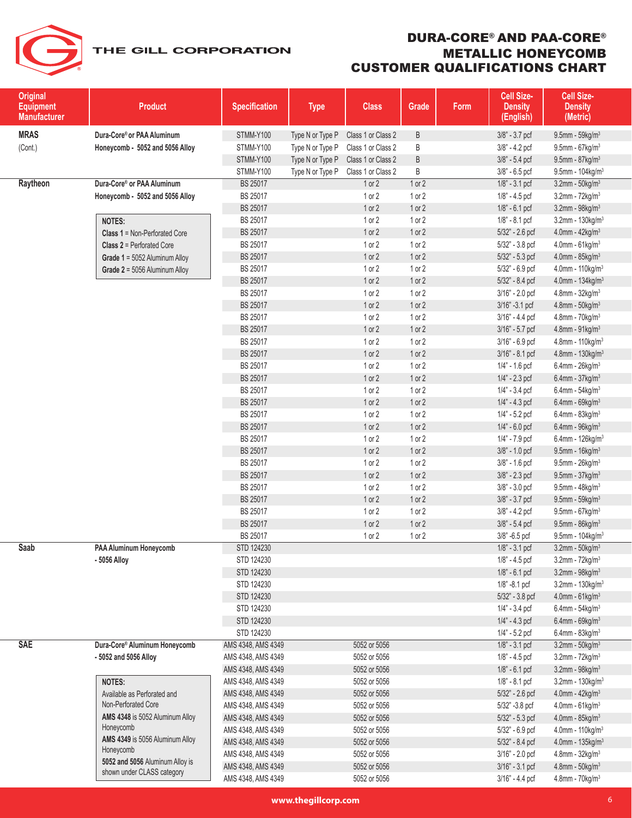| <b>Original</b><br><b>Equipment</b><br><b>Manufacturer</b> | <b>Product</b>                               | <b>Specification</b> | <b>Type</b>      | <b>Class</b>       | Grade      | Form | Cell Size-<br><b>Density</b><br>(English) | Cell Size-<br><b>Density</b><br>(Metric) |
|------------------------------------------------------------|----------------------------------------------|----------------------|------------------|--------------------|------------|------|-------------------------------------------|------------------------------------------|
| <b>MRAS</b>                                                | Dura-Core® or PAA Aluminum                   | STMM-Y100            | Type N or Type P | Class 1 or Class 2 | $\sf B$    |      | 3/8" - 3.7 pcf                            | $9.5$ mm - $59$ kg/m <sup>3</sup>        |
| (Cont.)                                                    | Honeycomb - 5052 and 5056 Alloy              | STMM-Y100            | Type N or Type P | Class 1 or Class 2 | B          |      | $3/8$ " - 4.2 pcf                         | $9.5$ mm - 67 $kg/m3$                    |
|                                                            |                                              | STMM-Y100            | Type N or Type P | Class 1 or Class 2 | B          |      | 3/8" - 5.4 pcf                            | $9.5$ mm - $87$ kg/m $3$                 |
|                                                            |                                              | STMM-Y100            | Type N or Type P | Class 1 or Class 2 | B          |      | $3/8$ " - 6.5 pcf                         | $9.5$ mm - 104kg/m <sup>3</sup>          |
| Raytheon                                                   | Dura-Core® or PAA Aluminum                   | BS 25017             |                  | 1 or 2             | 1 or 2     |      | $1/8$ " - 3.1 pcf                         | $3.2$ mm - $50$ kg/m $3$                 |
|                                                            | Honeycomb - 5052 and 5056 Alloy              | BS 25017             |                  | $1$ or $2$         | 1 or 2     |      | 1/8" - 4.5 pcf                            | $3.2$ mm - $72$ kg/m $3$                 |
|                                                            |                                              | BS 25017             |                  | 1 or 2             | 1 or 2     |      | $1/8" - 6.1$ pcf                          | $3.2$ mm - $98$ kg/m $3$                 |
|                                                            | <b>NOTES:</b>                                | BS 25017             |                  | $1$ or $2$         | 1 or 2     |      | 1/8" - 8.1 pcf                            | $3.2$ mm - 130 $kg/m3$                   |
|                                                            | <b>Class 1 = Non-Perforated Core</b>         | BS 25017             |                  | 1 or 2             | 1 or 2     |      | 5/32" - 2.6 pcf                           | 4.0mm - 42kg/m <sup>3</sup>              |
|                                                            | <b>Class 2 = Perforated Core</b>             | BS 25017             |                  | 1 or 2             | 1 or 2     |      | $5/32$ " - 3.8 pcf                        | $4.0$ mm - $61$ kg/m $3$                 |
|                                                            | Grade 1 = 5052 Aluminum Alloy                | BS 25017             |                  | 1 or 2             | 1 or 2     |      | $5/32$ " - $5.3$ pcf                      | 4.0mm - 85kg/m <sup>3</sup>              |
|                                                            | Grade 2 = 5056 Aluminum Alloy                | BS 25017             |                  | 1 or 2             | 1 or 2     |      | 5/32" - 6.9 pcf                           | 4.0mm - 110kg/m <sup>3</sup>             |
|                                                            |                                              | BS 25017             |                  | 1 or 2             | 1 or 2     |      | 5/32" - 8.4 pcf                           | 4.0mm - $134$ kg/m <sup>3</sup>          |
|                                                            |                                              | BS 25017             |                  | 1 or 2             | 1 or 2     |      | 3/16" - 2.0 pcf                           | 4.8mm - 32kg/m <sup>3</sup>              |
|                                                            |                                              | BS 25017             |                  | 1 or 2             | 1 or 2     |      | 3/16" -3.1 pcf                            | $4.8$ mm - $50$ kg/m $3$                 |
|                                                            |                                              | BS 25017             |                  | 1 or 2             | 1 or 2     |      | 3/16" - 4.4 pcf                           | $4.8$ mm - $70$ kg/m $3$                 |
|                                                            |                                              | BS 25017             |                  | 1 or 2             | 1 or 2     |      | 3/16" - 5.7 pcf                           | 4.8mm - 91kg/m <sup>3</sup>              |
|                                                            |                                              | BS 25017             |                  | 1 or 2             | 1 or 2     |      | 3/16" - 6.9 pcf                           | 4.8mm - 110kg/m <sup>3</sup>             |
|                                                            |                                              | BS 25017             |                  | 1 or 2             | 1 or 2     |      | 3/16" - 8.1 pcf                           | 4.8mm - 130kg/m <sup>3</sup>             |
|                                                            |                                              | BS 25017             |                  | 1 or 2             | 1 or 2     |      | 1/4" - 1.6 pcf                            | $6.4$ mm - $26$ kg/m <sup>3</sup>        |
|                                                            |                                              | BS 25017             |                  | 1 or 2             | 1 or 2     |      | $1/4" - 2.3$ pcf                          | $6.4$ mm - 37 $kg/m3$                    |
|                                                            |                                              | BS 25017             |                  | 1 or 2             | 1 or 2     |      | $1/4$ " - 3.4 pcf                         | $6.4$ mm - $54$ kg/m <sup>3</sup>        |
|                                                            |                                              | BS 25017             |                  | 1 or 2             | 1 or 2     |      | $1/4$ " - $4.3$ pcf                       | $6.4$ mm - $69$ kg/m <sup>3</sup>        |
|                                                            |                                              | BS 25017             |                  | 1 or 2             | 1 or 2     |      | 1/4" - 5.2 pcf                            | $6.4$ mm - $83$ kg/m <sup>3</sup>        |
|                                                            |                                              | BS 25017             |                  | 1 or 2             | 1 or 2     |      | $1/4" - 6.0$ pcf                          | $6.4$ mm - $96$ kg/m <sup>3</sup>        |
|                                                            |                                              | BS 25017             |                  | 1 or 2             | 1 or 2     |      | 1/4" - 7.9 pcf                            | 6.4mm - $126$ kg/m <sup>3</sup>          |
|                                                            |                                              | BS 25017             |                  | 1 or 2             | 1 or 2     |      | 3/8" - 1.0 pcf                            | 9.5mm - 16kg/m <sup>3</sup>              |
|                                                            |                                              | BS 25017             |                  | $1$ or $2$         | 1 or 2     |      | $3/8$ " - 1.6 pcf                         | $9.5$ mm - $26$ kg/m <sup>3</sup>        |
|                                                            |                                              | BS 25017             |                  | 1 or 2             | 1 or 2     |      | 3/8" - 2.3 pcf                            | $9.5$ mm - $37$ kg/m $3$                 |
|                                                            |                                              | BS 25017             |                  | $1$ or $2$         | 1 or 2     |      | $3/8$ " - $3.0$ pcf                       | $9.5$ mm - 48kg/m <sup>3</sup>           |
|                                                            |                                              | BS 25017             |                  | 1 or 2             | 1 or 2     |      | 3/8" - 3.7 pcf                            | $9.5$ mm - $59$ kg/m $3$                 |
|                                                            |                                              | BS 25017             |                  | 1 or 2             | 1 or 2     |      | $3/8" - 4.2$ pcf                          | $9.5$ mm - 67kg/m <sup>3</sup>           |
|                                                            |                                              | BS 25017             |                  | 1 or 2             | 1 or 2     |      | $3/8" - 5.4$ pcf                          | $9.5$ mm - $86$ kg/m <sup>3</sup>        |
|                                                            |                                              | BS 25017             |                  | $1$ or $2$         | $1$ or $2$ |      | $3/8$ " -6.5 pcf                          | $9.5$ mm - 104kg/m <sup>3</sup>          |
| Saab                                                       | PAA Aluminum Honeycomb                       | STD 124230           |                  |                    |            |      | 1/8" - 3.1 pcf                            | $3.2$ mm - $50$ kg/m $3$                 |
|                                                            | - 5056 Alloy                                 | STD 124230           |                  |                    |            |      | 1/8" - 4.5 pcf                            | $3.2$ mm - $72$ kg/m $3$                 |
|                                                            |                                              | STD 124230           |                  |                    |            |      | $1/8" - 6.1$ pcf                          | $3.2$ mm - $98$ kg/m $3$                 |
|                                                            |                                              | STD 124230           |                  |                    |            |      | $1/8$ " -8.1 pcf                          | $3.2$ mm - 130kg/m <sup>3</sup>          |
|                                                            |                                              | STD 124230           |                  |                    |            |      | 5/32" - 3.8 pcf                           | $4.0$ mm - $61$ kg/m <sup>3</sup>        |
|                                                            |                                              | STD 124230           |                  |                    |            |      | $1/4$ " - $3.4$ pcf                       | $6.4$ mm - $54$ kg/m <sup>3</sup>        |
|                                                            |                                              | STD 124230           |                  |                    |            |      | $1/4" - 4.3$ pcf                          | $6.4$ mm - $69$ kg/m $3$                 |
|                                                            |                                              | STD 124230           |                  |                    |            |      | 1/4" - 5.2 pcf                            | $6.4$ mm - $83$ kg/m <sup>3</sup>        |
| <b>SAE</b>                                                 | Dura-Core® Aluminum Honeycomb                | AMS 4348, AMS 4349   |                  | 5052 or 5056       |            |      | $1/8$ " - 3.1 pcf                         | $3.2$ mm - $50$ kg/m $3$                 |
|                                                            | - 5052 and 5056 Alloy                        | AMS 4348, AMS 4349   |                  | 5052 or 5056       |            |      | $1/8" - 4.5$ pcf                          | $3.2$ mm - $72$ kg/m $3$                 |
|                                                            |                                              | AMS 4348, AMS 4349   |                  | 5052 or 5056       |            |      | 1/8" - 6.1 pcf                            | $3.2$ mm - $98$ kg/m <sup>3</sup>        |
|                                                            | NOTES:                                       | AMS 4348, AMS 4349   |                  | 5052 or 5056       |            |      | 1/8" - 8.1 pcf                            | $3.2$ mm - 130kg/m <sup>3</sup>          |
|                                                            | Available as Perforated and                  | AMS 4348, AMS 4349   |                  | 5052 or 5056       |            |      | 5/32" - 2.6 pcf                           | 4.0mm - $42$ kg/m <sup>3</sup>           |
|                                                            | Non-Perforated Core                          | AMS 4348, AMS 4349   |                  | 5052 or 5056       |            |      | 5/32" -3.8 pcf                            | $4.0$ mm - $61$ kg/m <sup>3</sup>        |
|                                                            | AMS 4348 is 5052 Aluminum Alloy<br>Honeycomb | AMS 4348, AMS 4349   |                  | 5052 or 5056       |            |      | 5/32" - 5.3 pcf                           | $4.0$ mm - $85$ kg/m <sup>3</sup>        |
|                                                            | AMS 4349 is 5056 Aluminum Alloy              | AMS 4348, AMS 4349   |                  | 5052 or 5056       |            |      | 5/32" - 6.9 pcf                           | $4.0$ mm - 110kg/m <sup>3</sup>          |
|                                                            | Honeycomb                                    | AMS 4348, AMS 4349   |                  | 5052 or 5056       |            |      | 5/32" - 8.4 pcf                           | 4.0mm - 135kg/m <sup>3</sup>             |
|                                                            | 5052 and 5056 Aluminum Alloy is              | AMS 4348, AMS 4349   |                  | 5052 or 5056       |            |      | 3/16" - 2.0 pcf                           | $4.8$ mm - $32$ kg/m $3$                 |
|                                                            | shown under CLASS category                   | AMS 4348, AMS 4349   |                  | 5052 or 5056       |            |      | $3/16" - 3.1$ pcf                         | $4.8$ mm - $50$ kg/m <sup>3</sup>        |
|                                                            |                                              | AMS 4348, AMS 4349   |                  | 5052 or 5056       |            |      | $3/16" - 4.4$ pcf                         | $4.8$ mm - $70$ kg/m $3$                 |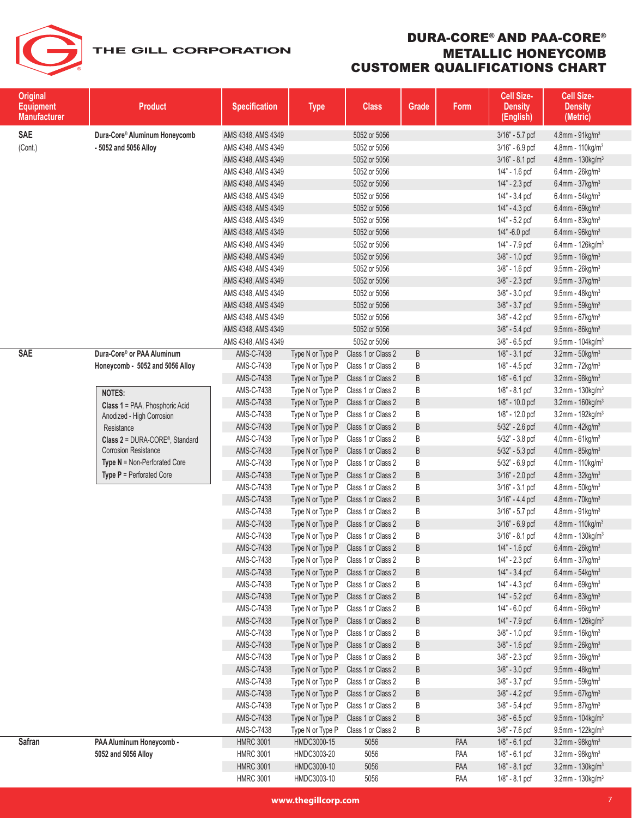### DURA-CORE® AND PAA-CORE® METALLIC HONEYCOMB CUSTOMER QUALIFICATIONS CHART

| <b>Original</b><br><b>Equipment</b><br><b>Manufacturer</b> | <b>Product</b>                                         | <b>Specification</b> | <b>Type</b>      | <b>Class</b>       | Grade | Form | Cell Size-<br><b>Density</b><br>(English) | <b>Cell Size-</b><br><b>Density</b><br>(Metric) |
|------------------------------------------------------------|--------------------------------------------------------|----------------------|------------------|--------------------|-------|------|-------------------------------------------|-------------------------------------------------|
| <b>SAE</b>                                                 | Dura-Core® Aluminum Honeycomb                          | AMS 4348, AMS 4349   |                  | 5052 or 5056       |       |      | 3/16" - 5.7 pcf                           | 4.8mm - $91$ kg/m <sup>3</sup>                  |
| (Cont.)                                                    | - 5052 and 5056 Alloy                                  | AMS 4348, AMS 4349   |                  | 5052 or 5056       |       |      | 3/16" - 6.9 pcf                           | 4.8mm - $110$ kg/m <sup>3</sup>                 |
|                                                            |                                                        | AMS 4348, AMS 4349   |                  | 5052 or 5056       |       |      | 3/16" - 8.1 pcf                           | 4.8mm - 130kg/m <sup>3</sup>                    |
|                                                            |                                                        | AMS 4348, AMS 4349   |                  | 5052 or 5056       |       |      | 1/4" - 1.6 pcf                            | $6.4$ mm - 26kg/m <sup>3</sup>                  |
|                                                            |                                                        | AMS 4348, AMS 4349   |                  | 5052 or 5056       |       |      | $1/4" - 2.3$ pcf                          | 6.4mm - $37$ kg/m <sup>3</sup>                  |
|                                                            |                                                        | AMS 4348, AMS 4349   |                  | 5052 or 5056       |       |      | 1/4" - 3.4 pcf                            | 6.4mm - $54$ kg/m <sup>3</sup>                  |
|                                                            |                                                        | AMS 4348, AMS 4349   |                  | 5052 or 5056       |       |      | $1/4" - 4.3$ pcf                          | $6.4$ mm - 69kg/m <sup>3</sup>                  |
|                                                            |                                                        | AMS 4348, AMS 4349   |                  | 5052 or 5056       |       |      | 1/4" - 5.2 pcf                            | $6.4$ mm - $83$ kg/m <sup>3</sup>               |
|                                                            |                                                        | AMS 4348, AMS 4349   |                  | 5052 or 5056       |       |      | 1/4" -6.0 pcf                             | $6.4$ mm - $96$ kg/m <sup>3</sup>               |
|                                                            |                                                        | AMS 4348, AMS 4349   |                  | 5052 or 5056       |       |      | 1/4" - 7.9 pcf                            | 6.4mm - $126$ kg/m <sup>3</sup>                 |
|                                                            |                                                        | AMS 4348, AMS 4349   |                  | 5052 or 5056       |       |      | 3/8" - 1.0 pcf                            | $9.5$ mm - 16kg/m <sup>3</sup>                  |
|                                                            |                                                        | AMS 4348, AMS 4349   |                  | 5052 or 5056       |       |      | $3/8" - 1.6$ pcf                          | $9.5$ mm - $26$ kg/m <sup>3</sup>               |
|                                                            |                                                        | AMS 4348, AMS 4349   |                  | 5052 or 5056       |       |      | 3/8" - 2.3 pcf                            | $9.5$ mm - $37$ kg/m <sup>3</sup>               |
|                                                            |                                                        | AMS 4348, AMS 4349   |                  | 5052 or 5056       |       |      | $3/8" - 3.0$ pcf                          | 9.5mm - $48$ kg/m <sup>3</sup>                  |
|                                                            |                                                        | AMS 4348, AMS 4349   |                  | 5052 or 5056       |       |      | 3/8" - 3.7 pcf                            | $9.5$ mm - $59$ kg/m <sup>3</sup>               |
|                                                            |                                                        | AMS 4348, AMS 4349   |                  | 5052 or 5056       |       |      | 3/8" - 4.2 pcf                            | 9.5mm - $67$ kg/m <sup>3</sup>                  |
|                                                            |                                                        | AMS 4348, AMS 4349   |                  | 5052 or 5056       |       |      | 3/8" - 5.4 pcf                            | $9.5$ mm - $86$ kg/m <sup>3</sup>               |
|                                                            |                                                        | AMS 4348, AMS 4349   |                  | 5052 or 5056       |       |      | $3/8$ " - 6.5 pcf                         | $9.5$ mm - 104kg/m $3$                          |
| <b>SAE</b>                                                 | Dura-Core® or PAA Aluminum                             | AMS-C-7438           | Type N or Type P | Class 1 or Class 2 | B     |      | $1/8" - 3.1$ pcf                          | $3.2$ mm - $50$ kg/m <sup>3</sup>               |
|                                                            | Honeycomb - 5052 and 5056 Alloy                        | AMS-C-7438           | Type N or Type P | Class 1 or Class 2 | B     |      | 1/8" - 4.5 pcf                            | $3.2$ mm - $72$ kg/m <sup>3</sup>               |
|                                                            |                                                        | AMS-C-7438           | Type N or Type P | Class 1 or Class 2 | B     |      | $1/8$ " - 6.1 pcf                         | $3.2$ mm - $98$ kg/m <sup>3</sup>               |
|                                                            | <b>NOTES:</b>                                          | AMS-C-7438           | Type N or Type P | Class 1 or Class 2 | B     |      | 1/8" - 8.1 pcf                            | $3.2$ mm - 130kg/m <sup>3</sup>                 |
|                                                            | Class 1 = PAA, Phosphoric Acid                         | AMS-C-7438           | Type N or Type P | Class 1 or Class 2 | B     |      | 1/8" - 10.0 pcf                           | $3.2$ mm - 160 $kg/m3$                          |
|                                                            | Anodized - High Corrosion                              | AMS-C-7438           | Type N or Type P | Class 1 or Class 2 | B     |      | 1/8" - 12.0 pcf                           | $3.2$ mm - 192kg/m <sup>3</sup>                 |
|                                                            | Resistance                                             | AMS-C-7438           | Type N or Type P | Class 1 or Class 2 | B     |      | 5/32" - 2.6 pcf                           | 4.0mm - $42$ kg/m <sup>3</sup>                  |
|                                                            | Class 2 = DURA-CORE®, Standard                         | AMS-C-7438           | Type N or Type P | Class 1 or Class 2 | B     |      | 5/32" - 3.8 pcf                           | 4.0mm - $61$ kg/m <sup>3</sup>                  |
|                                                            | <b>Corrosion Resistance</b>                            | AMS-C-7438           | Type N or Type P | Class 1 or Class 2 | B     |      | 5/32" - 5.3 pcf                           | 4.0mm - 85kg/m <sup>3</sup>                     |
|                                                            | <b>Type <math>N = \text{Non-Perforced Core}</math></b> | AMS-C-7438           | Type N or Type P | Class 1 or Class 2 | B     |      | 5/32" - 6.9 pcf                           | 4.0mm - $110$ kg/m <sup>3</sup>                 |
|                                                            | <b>Type P</b> = Perforated Core                        | AMS-C-7438           | Type N or Type P | Class 1 or Class 2 | B     |      | $3/16" - 2.0$ pcf                         | 4.8mm - $32$ kg/m <sup>3</sup>                  |
|                                                            |                                                        | AMS-C-7438           | Type N or Type P | Class 1 or Class 2 | B     |      | $3/16" - 3.1$ pcf                         | 4.8mm - $50$ kg/m <sup>3</sup>                  |
|                                                            |                                                        | AMS-C-7438           | Type N or Type P | Class 1 or Class 2 | B     |      | 3/16" - 4.4 pcf                           | $4.8$ mm - $70$ kg/m <sup>3</sup>               |
|                                                            |                                                        | AMS-C-7438           | Type N or Type P | Class 1 or Class 2 | B     |      | 3/16" - 5.7 pcf                           | $4.8$ mm - $91$ kg/m $3$                        |
|                                                            |                                                        | AMS-C-7438           | Type N or Type P | Class 1 or Class 2 | B     |      | 3/16" - 6.9 pcf                           | 4.8mm - 110kg/m <sup>3</sup>                    |
|                                                            |                                                        | AMS-C-7438           | Type N or Type P | Class 1 or Class 2 | B     |      | 3/16" - 8.1 pcf                           | $4.8$ mm - 130kg/m <sup>3</sup>                 |
|                                                            |                                                        | AMS-C-7438           | Type N or Type P | Class 1 or Class 2 | B     |      | 1/4" - 1.6 pcf                            | $6.4$ mm - 26kg/m <sup>3</sup>                  |
|                                                            |                                                        | AMS-C-7438           | Type N or Type P | Class 1 or Class 2 | B     |      | 1/4" - 2.3 pcf                            | $6.4$ mm - 37kg/m <sup>3</sup>                  |
|                                                            |                                                        | AMS-C-7438           | Type N or Type P | Class 1 or Class 2 | B     |      | $1/4" - 3.4$ pcf                          | $6.4$ mm - $54$ kg/m <sup>3</sup>               |
|                                                            |                                                        | AMS-C-7438           | Type N or Type P | Class 1 or Class 2 | B     |      | $1/4$ " - $4.3$ pcf                       | $6.4$ mm - 69kg/m <sup>3</sup>                  |
|                                                            |                                                        | AMS-C-7438           | Type N or Type P | Class 1 or Class 2 | B     |      | $1/4" - 5.2$ pcf                          | $6.4$ mm - $83$ kg/m <sup>3</sup>               |
|                                                            |                                                        | AMS-C-7438           | Type N or Type P | Class 1 or Class 2 | B     |      | $1/4" - 6.0$ pcf                          | $6.4$ mm - $96$ kg/m <sup>3</sup>               |
|                                                            |                                                        | AMS-C-7438           | Type N or Type P | Class 1 or Class 2 | B     |      | 1/4" - 7.9 pcf                            | $6.4$ mm - 126 kg/m <sup>3</sup>                |
|                                                            |                                                        | AMS-C-7438           | Type N or Type P | Class 1 or Class 2 | B     |      | 3/8" - 1.0 pcf                            | $9.5$ mm - 16kg/m <sup>3</sup>                  |
|                                                            |                                                        | AMS-C-7438           | Type N or Type P | Class 1 or Class 2 | B     |      | 3/8" - 1.6 pcf                            | $9.5$ mm - $26$ kg/m <sup>3</sup>               |
|                                                            |                                                        | AMS-C-7438           | Type N or Type P | Class 1 or Class 2 | B     |      | $3/8" - 2.3$ pcf                          | $9.5$ mm - $36$ kg/m <sup>3</sup>               |
|                                                            |                                                        | AMS-C-7438           | Type N or Type P | Class 1 or Class 2 | B     |      | $3/8" - 3.0$ pcf                          | $9.5$ mm - $48$ kg/m <sup>3</sup>               |
|                                                            |                                                        | AMS-C-7438           | Type N or Type P | Class 1 or Class 2 | B     |      | $3/8" - 3.7$ pcf                          | $9.5$ mm - $59$ kg/m <sup>3</sup>               |
|                                                            |                                                        | AMS-C-7438           | Type N or Type P | Class 1 or Class 2 | B     |      | $3/8" - 4.2$ pcf                          | 9.5mm - $67$ kg/m <sup>3</sup>                  |
|                                                            |                                                        | AMS-C-7438           | Type N or Type P | Class 1 or Class 2 | B     |      | $3/8" - 5.4$ pcf                          | 9.5mm - 87kg/m <sup>3</sup>                     |
|                                                            |                                                        | AMS-C-7438           | Type N or Type P | Class 1 or Class 2 | B     |      | 3/8" - 6.5 pcf                            | $9.5$ mm - 104kg/m <sup>3</sup>                 |
|                                                            |                                                        | AMS-C-7438           | Type N or Type P | Class 1 or Class 2 | Β     |      | 3/8" - 7.6 pcf                            | $9.5$ mm - 122kg/m <sup>3</sup>                 |
| <b>Safran</b>                                              | PAA Aluminum Honeycomb -                               | <b>HMRC 3001</b>     | HMDC3000-15      | 5056               |       | PAA  | $1/8$ " - 6.1 pcf                         | $3.2$ mm - $98$ kg/m <sup>3</sup>               |
|                                                            | 5052 and 5056 Alloy                                    | <b>HMRC 3001</b>     | HMDC3003-20      | 5056               |       | PAA  | 1/8" - 6.1 pcf                            | $3.2$ mm - $98$ kg/m $3$                        |
|                                                            |                                                        | <b>HMRC 3001</b>     | HMDC3000-10      | 5056               |       | PAA  | $1/8$ " - 8.1 pcf                         | $3.2$ mm - 130 $kg/m3$                          |
|                                                            |                                                        | <b>HMRC 3001</b>     | HMDC3003-10      | 5056               |       | PAA  | 1/8" - 8.1 pcf                            | 3.2mm - 130kg/m <sup>3</sup>                    |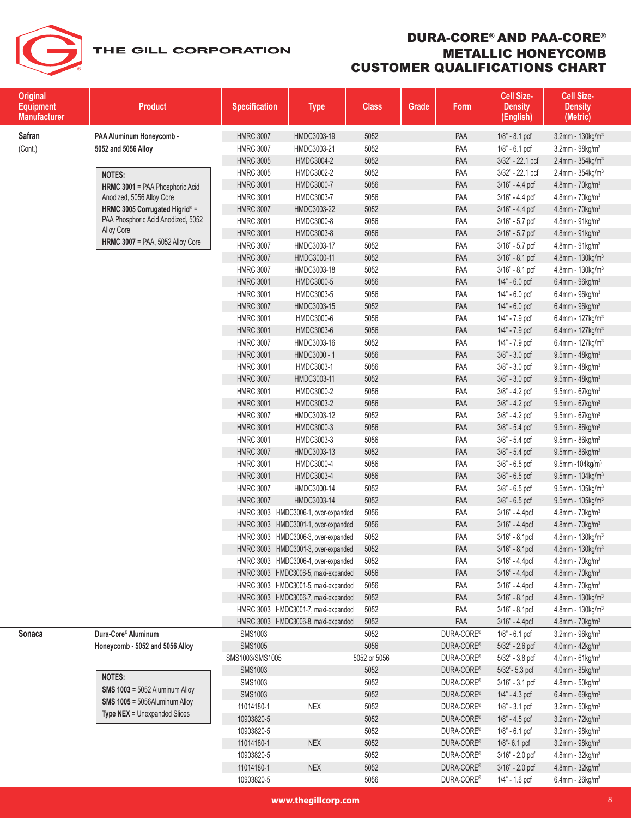| <b>Original</b><br><b>Equipment</b><br><b>Manufacturer</b> | <b>Product</b>                                               | <b>Specification</b> | <b>Type</b>                         | <b>Class</b> | Grade | Form       | Cell Size-<br><b>Density</b><br>(English) | Cell Size-<br><b>Density</b><br>(Metric) |
|------------------------------------------------------------|--------------------------------------------------------------|----------------------|-------------------------------------|--------------|-------|------------|-------------------------------------------|------------------------------------------|
| Safran                                                     | PAA Aluminum Honeycomb -                                     | <b>HMRC 3007</b>     | HMDC3003-19                         | 5052         |       | PAA        | $1/8" - 8.1$ pcf                          | 3.2mm - 130kg/m <sup>3</sup>             |
| (Cont.)                                                    | 5052 and 5056 Alloy                                          | <b>HMRC 3007</b>     | HMDC3003-21                         | 5052         |       | PAA        | $1/8$ " - 6.1 pcf                         | $3.2$ mm - $98$ kg/m $3$                 |
|                                                            |                                                              | <b>HMRC 3005</b>     | HMDC3004-2                          | 5052         |       | PAA        | 3/32" - 22.1 pcf                          | $2.4$ mm - 354kg/m <sup>3</sup>          |
|                                                            |                                                              | <b>HMRC 3005</b>     | HMDC3002-2                          | 5052         |       | PAA        | 3/32" - 22.1 pcf                          | $2.4$ mm - 354kg/m <sup>3</sup>          |
|                                                            | <b>NOTES:</b>                                                | <b>HMRC 3001</b>     | HMDC3000-7                          | 5056         |       | PAA        | 3/16" - 4.4 pcf                           | 4.8mm - 70kg/m <sup>3</sup>              |
|                                                            | HRMC 3001 = PAA Phosphoric Acid<br>Anodized, 5056 Alloy Core | <b>HMRC 3001</b>     | HMDC3003-7                          | 5056         |       | PAA        | 3/16" - 4.4 pcf                           | $4.8$ mm - $70$ kg/m $3$                 |
|                                                            | HRMC 3005 Corrugated Higrid® =                               | <b>HMRC 3007</b>     | HMDC3003-22                         | 5052         |       | PAA        | 3/16" - 4.4 pcf                           | 4.8mm - 70kg/m <sup>3</sup>              |
|                                                            | PAA Phosphoric Acid Anodized, 5052                           | <b>HMRC 3001</b>     | HMDC3000-8                          | 5056         |       | PAA        | 3/16" - 5.7 pcf                           | 4.8mm - 91kg/m <sup>3</sup>              |
|                                                            | Alloy Core                                                   | <b>HMRC 3001</b>     | HMDC3003-8                          | 5056         |       | PAA        | 3/16" - 5.7 pcf                           | $4.8$ mm - $91$ kg/m $3$                 |
|                                                            | <b>HRMC 3007</b> = PAA, 5052 Alloy Core                      | <b>HMRC 3007</b>     | HMDC3003-17                         | 5052         |       | PAA        | $3/16" - 5.7$ pcf                         | 4.8mm - 91kg/m <sup>3</sup>              |
|                                                            |                                                              | <b>HMRC 3007</b>     | HMDC3000-11                         | 5052         |       | PAA        | 3/16" - 8.1 pcf                           | 4.8mm - $130$ kg/m <sup>3</sup>          |
|                                                            |                                                              | <b>HMRC 3007</b>     | HMDC3003-18                         | 5052         |       | PAA        | $3/16" - 8.1$ pcf                         | 4.8mm - $130$ kg/m <sup>3</sup>          |
|                                                            |                                                              | <b>HMRC 3001</b>     | HMDC3000-5                          | 5056         |       | PAA        | $1/4" - 6.0$ pcf                          | $6.4$ mm - $96$ kg/m $3$                 |
|                                                            |                                                              | <b>HMRC 3001</b>     | HMDC3003-5                          | 5056         |       | PAA        | $1/4$ " - 6.0 pcf                         | $6.4$ mm - $96$ kg/m <sup>3</sup>        |
|                                                            |                                                              | <b>HMRC 3007</b>     | HMDC3003-15                         | 5052         |       | PAA        | $1/4" - 6.0$ pcf                          | $6.4$ mm - $96$ kg/m $3$                 |
|                                                            |                                                              | <b>HMRC 3001</b>     | HMDC3000-6                          | 5056         |       | PAA        | 1/4" - 7.9 pcf                            | 6.4mm - $127$ kg/m <sup>3</sup>          |
|                                                            |                                                              | <b>HMRC 3001</b>     | HMDC3003-6                          | 5056         |       | PAA        | $1/4$ " - $7.9$ pcf                       | 6.4mm - $127$ kg/m <sup>3</sup>          |
|                                                            |                                                              | <b>HMRC 3007</b>     | HMDC3003-16                         | 5052         |       | PAA        | $1/4$ " - $7.9$ pcf                       | 6.4mm - 127kg/m <sup>3</sup>             |
|                                                            |                                                              | <b>HMRC 3001</b>     | HMDC3000 - 1                        | 5056         |       | PAA        | 3/8" - 3.0 pcf                            | 9.5mm - $48$ kg/m <sup>3</sup>           |
|                                                            |                                                              | <b>HMRC 3001</b>     | HMDC3003-1                          | 5056         |       | PAA        | 3/8" - 3.0 pcf                            | $9.5$ mm - $48$ kg/m <sup>3</sup>        |
|                                                            |                                                              | <b>HMRC 3007</b>     | HMDC3003-11                         | 5052         |       | PAA        | 3/8" - 3.0 pcf                            | $9.5$ mm - $48$ kg/m <sup>3</sup>        |
|                                                            |                                                              | <b>HMRC 3001</b>     | HMDC3000-2                          | 5056         |       | PAA        | 3/8" - 4.2 pcf                            | $9.5$ mm - 67kg/m <sup>3</sup>           |
|                                                            |                                                              | <b>HMRC 3001</b>     | HMDC3003-2                          | 5056         |       | PAA        | $3/8" - 4.2$ pcf                          | $9.5$ mm - 67 $kg/m3$                    |
|                                                            |                                                              | <b>HMRC 3007</b>     | HMDC3003-12                         | 5052         |       | PAA        | $3/8" - 4.2$ pcf                          | 9.5mm - $67$ kg/m <sup>3</sup>           |
|                                                            |                                                              | <b>HMRC 3001</b>     | HMDC3000-3                          | 5056         |       | PAA        | 3/8" - 5.4 pcf                            | 9.5mm - 86kg/m <sup>3</sup>              |
|                                                            |                                                              | <b>HMRC 3001</b>     | HMDC3003-3                          | 5056         |       | PAA        | 3/8" - 5.4 pcf                            | $9.5$ mm - $86$ kg/m <sup>3</sup>        |
|                                                            |                                                              | <b>HMRC 3007</b>     | HMDC3003-13                         | 5052         |       | PAA        | 3/8" - 5.4 pcf                            | $9.5$ mm - $86$ kg/m <sup>3</sup>        |
|                                                            |                                                              | <b>HMRC 3001</b>     | HMDC3000-4                          | 5056         |       | PAA        | $3/8"$ - 6.5 pcf                          | 9.5mm - 104kg/m <sup>3</sup>             |
|                                                            |                                                              | <b>HMRC 3001</b>     | HMDC3003-4                          | 5056         |       | PAA        | $3/8" - 6.5$ pcf                          | 9.5mm - $104$ kg/m <sup>3</sup>          |
|                                                            |                                                              | <b>HMRC 3007</b>     | HMDC3000-14                         | 5052         |       | PAA        | $3/8$ " - 6.5 pcf                         | $9.5$ mm - 105 $kg/m3$                   |
|                                                            |                                                              | <b>HMRC 3007</b>     | HMDC3003-14                         | 5052         |       | PAA        | 3/8" - 6.5 pcf                            | 9.5mm - 105kg/m <sup>3</sup>             |
|                                                            |                                                              |                      | HMRC 3003 HMDC3006-1, over-expanded | 5056         |       | PAA        | 3/16" - 4.4pcf                            | 4.8mm - 70kg/m <sup>3</sup>              |
|                                                            |                                                              |                      | HMRC 3003 HMDC3001-1, over-expanded | 5056         |       | PAA        | 3/16" - 4.4pcf                            | 4.8mm - 70kg/m <sup>3</sup>              |
|                                                            |                                                              |                      | HMRC 3003 HMDC3006-3, over-expanded | 5052         |       | PAA        | 3/16" - 8.1pcf                            | $4.8$ mm - 130 kg/m <sup>3</sup>         |
|                                                            |                                                              |                      | HMRC 3003 HMDC3001-3, over-expanded | 5052         |       | PAA        | 3/16" - 8.1pcf                            | 4.8mm - 130kg/m <sup>3</sup>             |
|                                                            |                                                              |                      | HMRC 3003 HMDC3006-4, over-expanded | 5052         |       | PAA        | 3/16" - 4.4pcf                            | 4.8mm - $70$ kg/m <sup>3</sup>           |
|                                                            |                                                              |                      | HMRC 3003 HMDC3006-5, maxi-expanded | 5056         |       | PAA        | $3/16" - 4.4pcf$                          | 4.8mm - 70kg/m <sup>3</sup>              |
|                                                            |                                                              |                      | HMRC 3003 HMDC3001-5, maxi-expanded | 5056         |       | PAA        | 3/16" - 4.4pcf                            | $4.8$ mm - $70$ kg/m $3$                 |
|                                                            |                                                              |                      | HMRC 3003 HMDC3006-7, maxi-expanded | 5052         |       | <b>PAA</b> | $3/16" - 8.1pcf$                          | 4.8mm - 130kg/m <sup>3</sup>             |
|                                                            |                                                              |                      | HMRC 3003 HMDC3001-7, maxi-expanded | 5052         |       | PAA        | $3/16" - 8.1pcf$                          | $4.8$ mm - 130 kg/m <sup>3</sup>         |
|                                                            |                                                              |                      | HMRC 3003 HMDC3006-8, maxi-expanded | 5052         |       | PAA        | $3/16" - 4.4pcf$                          | 4.8mm - $70$ kg/m <sup>3</sup>           |
| Sonaca                                                     | Dura-Core® Aluminum                                          | SMS1003              |                                     | 5052         |       | DURA-CORE® | $1/8$ " - 6.1 pcf                         | $3.2$ mm - $96$ kg/m $3$                 |
|                                                            | Honeycomb - 5052 and 5056 Alloy                              | <b>SMS1005</b>       |                                     | 5056         |       | DURA-CORE® | 5/32" - 2.6 pcf                           | 4.0mm - 42kg/m <sup>3</sup>              |
|                                                            |                                                              | SMS1003/SMS1005      |                                     | 5052 or 5056 |       | DURA-CORE® | 5/32" - 3.8 pcf                           | $4.0$ mm - $61$ kg/m <sup>3</sup>        |
|                                                            | <b>NOTES:</b>                                                | <b>SMS1003</b>       |                                     | 5052         |       | DURA-CORE® | 5/32"-5.3 pcf                             | $4.0$ mm - $85$ kg/m $3$                 |
|                                                            | <b>SMS 1003</b> = $5052$ Aluminum Alloy                      | SMS1003              |                                     | 5052         |       | DURA-CORE® | 3/16" - 3.1 pcf                           | 4.8mm - 50kg/m <sup>3</sup>              |
|                                                            | <b>SMS 1005</b> = $5056$ Aluminum Alloy                      | <b>SMS1003</b>       |                                     | 5052         |       | DURA-CORE® | $1/4" - 4.3$ pcf                          | $6.4$ mm - $69$ kg/m $3$                 |
|                                                            | <b>Type NEX = Unexpanded Slices</b>                          | 11014180-1           | <b>NEX</b>                          | 5052         |       | DURA-CORE® | $1/8$ " - $3.1$ pcf                       | $3.2$ mm - $50$ kg/m $3$                 |
|                                                            |                                                              | 10903820-5           |                                     | 5052         |       | DURA-CORE® | $1/8$ " - 4.5 pcf                         | $3.2$ mm - $72$ kg/m $3$                 |
|                                                            |                                                              | 10903820-5           |                                     | 5052         |       | DURA-CORE® | $1/8" - 6.1$ pcf                          | $3.2$ mm - $98$ kg/m $3$                 |
|                                                            |                                                              | 11014180-1           | <b>NEX</b>                          | 5052         |       | DURA-CORE® | 1/8"-6.1 pcf                              | $3.2$ mm - $98$ kg/m $3$                 |
|                                                            |                                                              | 10903820-5           |                                     | 5052         |       | DURA-CORE® | $3/16" - 2.0$ pcf                         | $4.8$ mm - $32$ kg/m <sup>3</sup>        |
|                                                            |                                                              | 11014180-1           | <b>NEX</b>                          | 5052         |       | DURA-CORE® | 3/16" - 2.0 pcf                           | 4.8mm - $32$ kg/m <sup>3</sup>           |
|                                                            |                                                              | 10903820-5           |                                     | 5056         |       | DURA-CORE® | 1/4" - 1.6 pcf                            | $6.4$ mm - 26kg/m <sup>3</sup>           |